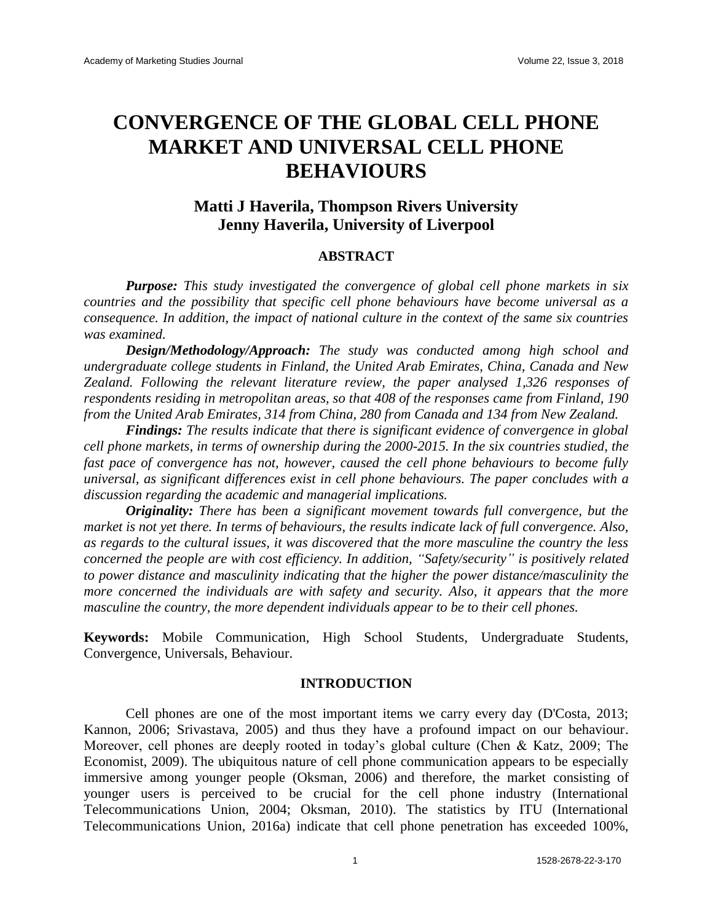# **CONVERGENCE OF THE GLOBAL CELL PHONE MARKET AND UNIVERSAL CELL PHONE BEHAVIOURS**

# **Matti J Haverila, Thompson Rivers University Jenny Haverila, University of Liverpool**

### **ABSTRACT**

*Purpose: This study investigated the convergence of global cell phone markets in six countries and the possibility that specific cell phone behaviours have become universal as a consequence. In addition, the impact of national culture in the context of the same six countries was examined.* 

*Design/Methodology/Approach: The study was conducted among high school and undergraduate college students in Finland, the United Arab Emirates, China, Canada and New Zealand. Following the relevant literature review, the paper analysed 1,326 responses of respondents residing in metropolitan areas, so that 408 of the responses came from Finland, 190 from the United Arab Emirates, 314 from China, 280 from Canada and 134 from New Zealand.* 

*Findings: The results indicate that there is significant evidence of convergence in global cell phone markets, in terms of ownership during the 2000-2015. In the six countries studied, the fast pace of convergence has not, however, caused the cell phone behaviours to become fully universal, as significant differences exist in cell phone behaviours. The paper concludes with a discussion regarding the academic and managerial implications.*

*Originality: There has been a significant movement towards full convergence, but the market is not yet there. In terms of behaviours, the results indicate lack of full convergence. Also, as regards to the cultural issues, it was discovered that the more masculine the country the less concerned the people are with cost efficiency. In addition, "Safety/security" is positively related to power distance and masculinity indicating that the higher the power distance/masculinity the more concerned the individuals are with safety and security. Also, it appears that the more masculine the country, the more dependent individuals appear to be to their cell phones.*

**Keywords:** Mobile Communication, High School Students, Undergraduate Students, Convergence, Universals, Behaviour.

#### **INTRODUCTION**

Cell phones are one of the most important items we carry every day (D'Costa, 2013; Kannon, 2006; Srivastava, 2005) and thus they have a profound impact on our behaviour. Moreover, cell phones are deeply rooted in today's global culture (Chen & Katz, 2009; The Economist, 2009). The ubiquitous nature of cell phone communication appears to be especially immersive among younger people (Oksman, 2006) and therefore, the market consisting of younger users is perceived to be crucial for the cell phone industry (International Telecommunications Union, 2004; Oksman, 2010). The statistics by ITU (International Telecommunications Union, 2016a) indicate that cell phone penetration has exceeded 100%,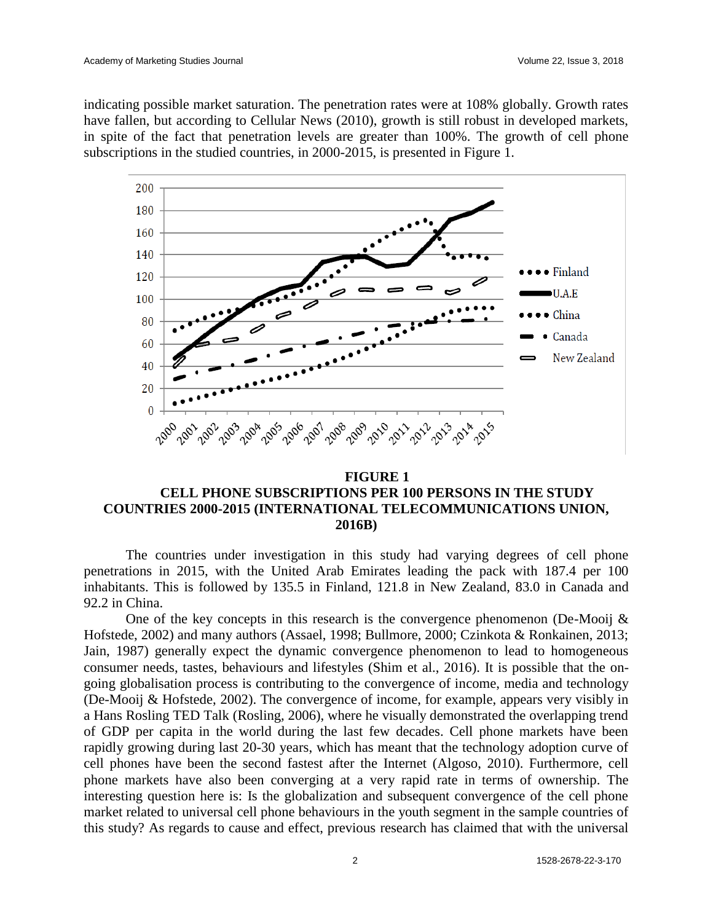indicating possible market saturation. The penetration rates were at 108% globally. Growth rates have fallen, but according to Cellular News (2010), growth is still robust in developed markets, in spite of the fact that penetration levels are greater than 100%. The growth of cell phone subscriptions in the studied countries, in 2000-2015, is presented in Figure 1.



## **FIGURE 1 CELL PHONE SUBSCRIPTIONS PER 100 PERSONS IN THE STUDY COUNTRIES 2000-2015 (INTERNATIONAL TELECOMMUNICATIONS UNION, 2016B)**

The countries under investigation in this study had varying degrees of cell phone penetrations in 2015, with the United Arab Emirates leading the pack with 187.4 per 100 inhabitants. This is followed by 135.5 in Finland, 121.8 in New Zealand, 83.0 in Canada and 92.2 in China.

One of the key concepts in this research is the convergence phenomenon (De-Mooij  $\&$ Hofstede, 2002) and many authors (Assael, 1998; Bullmore, 2000; Czinkota & Ronkainen, 2013; Jain, 1987) generally expect the dynamic convergence phenomenon to lead to homogeneous consumer needs, tastes, behaviours and lifestyles (Shim et al., 2016). It is possible that the ongoing globalisation process is contributing to the convergence of income, media and technology (De-Mooij & Hofstede, 2002). The convergence of income, for example, appears very visibly in a Hans Rosling TED Talk (Rosling, 2006), where he visually demonstrated the overlapping trend of GDP per capita in the world during the last few decades. Cell phone markets have been rapidly growing during last 20-30 years, which has meant that the technology adoption curve of cell phones have been the second fastest after the Internet (Algoso, 2010). Furthermore, cell phone markets have also been converging at a very rapid rate in terms of ownership. The interesting question here is: Is the globalization and subsequent convergence of the cell phone market related to universal cell phone behaviours in the youth segment in the sample countries of this study? As regards to cause and effect, previous research has claimed that with the universal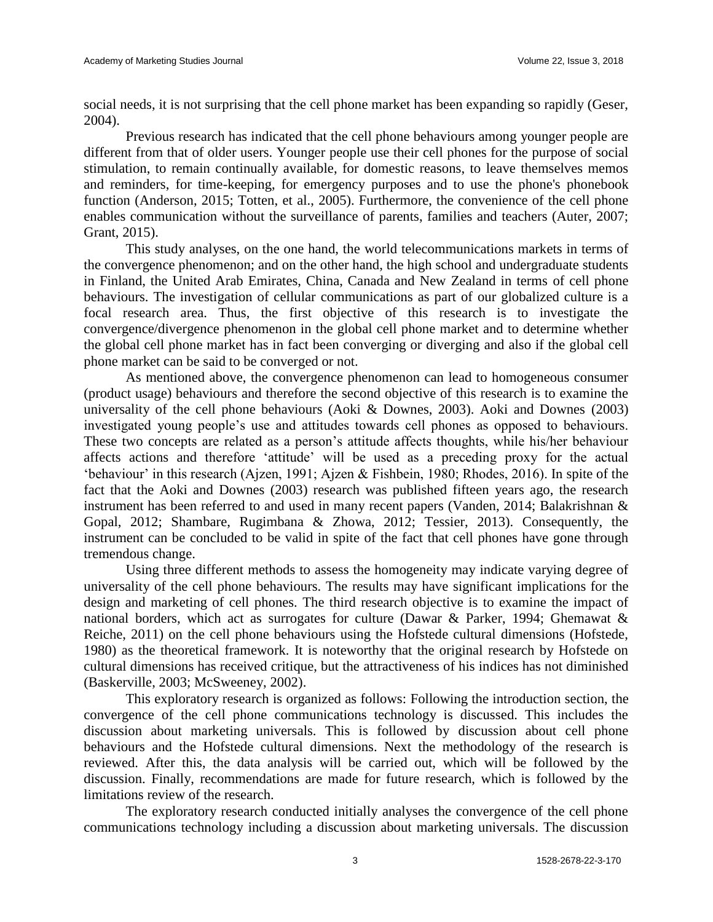social needs, it is not surprising that the cell phone market has been expanding so rapidly (Geser, 2004).

Previous research has indicated that the cell phone behaviours among younger people are different from that of older users. Younger people use their cell phones for the purpose of social stimulation, to remain continually available, for domestic reasons, to leave themselves memos and reminders, for time-keeping, for emergency purposes and to use the phone's phonebook function (Anderson, 2015; Totten, et al., 2005). Furthermore, the convenience of the cell phone enables communication without the surveillance of parents, families and teachers (Auter, 2007; Grant, 2015).

This study analyses, on the one hand, the world telecommunications markets in terms of the convergence phenomenon; and on the other hand, the high school and undergraduate students in Finland, the United Arab Emirates, China, Canada and New Zealand in terms of cell phone behaviours. The investigation of cellular communications as part of our globalized culture is a focal research area. Thus, the first objective of this research is to investigate the convergence/divergence phenomenon in the global cell phone market and to determine whether the global cell phone market has in fact been converging or diverging and also if the global cell phone market can be said to be converged or not.

As mentioned above, the convergence phenomenon can lead to homogeneous consumer (product usage) behaviours and therefore the second objective of this research is to examine the universality of the cell phone behaviours (Aoki & Downes, 2003). Aoki and Downes (2003) investigated young people's use and attitudes towards cell phones as opposed to behaviours. These two concepts are related as a person's attitude affects thoughts, while his/her behaviour affects actions and therefore 'attitude' will be used as a preceding proxy for the actual 'behaviour' in this research (Ajzen, 1991; Ajzen & Fishbein, 1980; Rhodes, 2016). In spite of the fact that the Aoki and Downes (2003) research was published fifteen years ago, the research instrument has been referred to and used in many recent papers (Vanden, 2014; Balakrishnan & Gopal, 2012; Shambare, Rugimbana & Zhowa, 2012; Tessier, 2013). Consequently, the instrument can be concluded to be valid in spite of the fact that cell phones have gone through tremendous change.

Using three different methods to assess the homogeneity may indicate varying degree of universality of the cell phone behaviours. The results may have significant implications for the design and marketing of cell phones. The third research objective is to examine the impact of national borders, which act as surrogates for culture (Dawar & Parker, 1994; Ghemawat & Reiche, 2011) on the cell phone behaviours using the Hofstede cultural dimensions (Hofstede, 1980) as the theoretical framework. It is noteworthy that the original research by Hofstede on cultural dimensions has received critique, but the attractiveness of his indices has not diminished (Baskerville, 2003; McSweeney, 2002).

This exploratory research is organized as follows: Following the introduction section, the convergence of the cell phone communications technology is discussed. This includes the discussion about marketing universals. This is followed by discussion about cell phone behaviours and the Hofstede cultural dimensions. Next the methodology of the research is reviewed. After this, the data analysis will be carried out, which will be followed by the discussion. Finally, recommendations are made for future research, which is followed by the limitations review of the research.

The exploratory research conducted initially analyses the convergence of the cell phone communications technology including a discussion about marketing universals. The discussion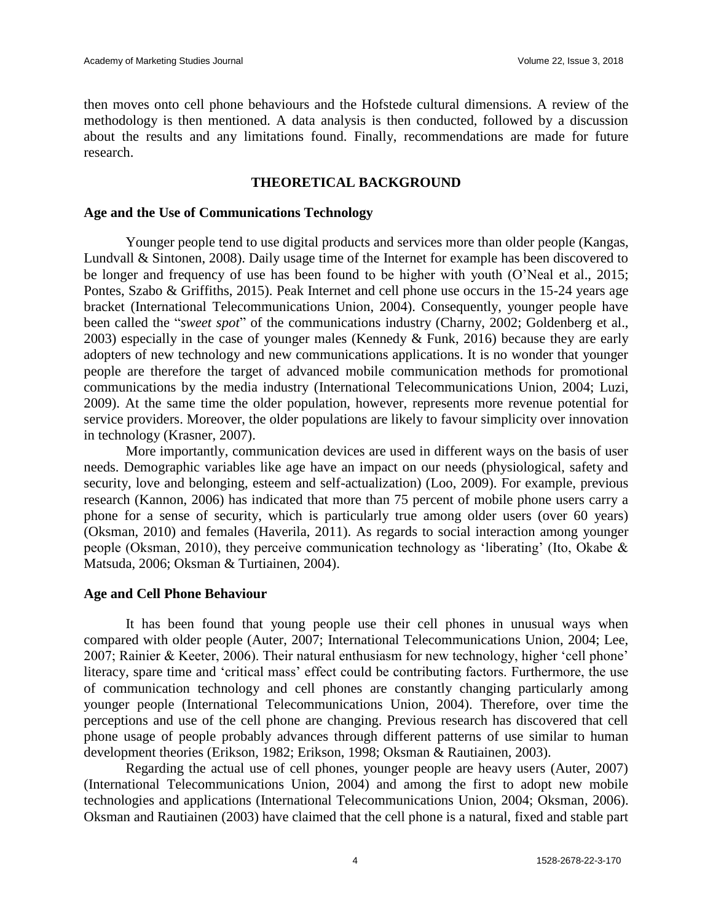then moves onto cell phone behaviours and the Hofstede cultural dimensions. A review of the methodology is then mentioned. A data analysis is then conducted, followed by a discussion about the results and any limitations found. Finally, recommendations are made for future research.

### **THEORETICAL BACKGROUND**

#### **Age and the Use of Communications Technology**

Younger people tend to use digital products and services more than older people (Kangas, Lundvall & Sintonen, 2008). Daily usage time of the Internet for example has been discovered to be longer and frequency of use has been found to be higher with youth (O'Neal et al., 2015; Pontes, Szabo & Griffiths, 2015). Peak Internet and cell phone use occurs in the 15-24 years age bracket (International Telecommunications Union, 2004). Consequently, younger people have been called the "*sweet spot*" of the communications industry (Charny, 2002; Goldenberg et al., 2003) especially in the case of younger males (Kennedy & Funk, 2016) because they are early adopters of new technology and new communications applications. It is no wonder that younger people are therefore the target of advanced mobile communication methods for promotional communications by the media industry (International Telecommunications Union, 2004; Luzi, 2009). At the same time the older population, however, represents more revenue potential for service providers. Moreover, the older populations are likely to favour simplicity over innovation in technology (Krasner, 2007).

More importantly, communication devices are used in different ways on the basis of user needs. Demographic variables like age have an impact on our needs (physiological, safety and security, love and belonging, esteem and self-actualization) (Loo, 2009). For example, previous research (Kannon, 2006) has indicated that more than 75 percent of mobile phone users carry a phone for a sense of security, which is particularly true among older users (over 60 years) (Oksman, 2010) and females (Haverila, 2011). As regards to social interaction among younger people (Oksman, 2010), they perceive communication technology as 'liberating' (Ito, Okabe & Matsuda, 2006; Oksman & Turtiainen, 2004).

#### **Age and Cell Phone Behaviour**

It has been found that young people use their cell phones in unusual ways when compared with older people (Auter, 2007; International Telecommunications Union, 2004; Lee, 2007; Rainier & Keeter, 2006). Their natural enthusiasm for new technology, higher 'cell phone' literacy, spare time and 'critical mass' effect could be contributing factors. Furthermore, the use of communication technology and cell phones are constantly changing particularly among younger people (International Telecommunications Union, 2004). Therefore, over time the perceptions and use of the cell phone are changing. Previous research has discovered that cell phone usage of people probably advances through different patterns of use similar to human development theories (Erikson, 1982; Erikson, 1998; Oksman & Rautiainen, 2003).

Regarding the actual use of cell phones, younger people are heavy users (Auter, 2007) (International Telecommunications Union, 2004) and among the first to adopt new mobile technologies and applications (International Telecommunications Union, 2004; Oksman, 2006). Oksman and Rautiainen (2003) have claimed that the cell phone is a natural, fixed and stable part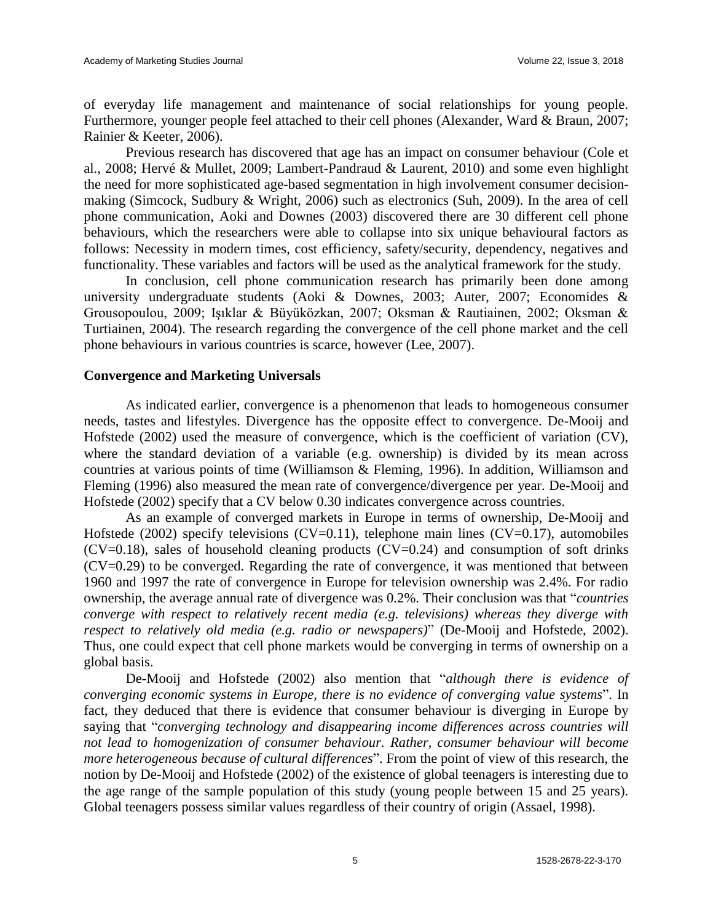of everyday life management and maintenance of social relationships for young people. Furthermore, younger people feel attached to their cell phones (Alexander, Ward & Braun, 2007; Rainier & Keeter, 2006).

Previous research has discovered that age has an impact on consumer behaviour (Cole et al., 2008; Hervé & Mullet, 2009; Lambert-Pandraud & Laurent, 2010) and some even highlight the need for more sophisticated age-based segmentation in high involvement consumer decisionmaking (Simcock, Sudbury & Wright, 2006) such as electronics (Suh, 2009). In the area of cell phone communication, Aoki and Downes (2003) discovered there are 30 different cell phone behaviours, which the researchers were able to collapse into six unique behavioural factors as follows: Necessity in modern times, cost efficiency, safety/security, dependency, negatives and functionality. These variables and factors will be used as the analytical framework for the study.

In conclusion, cell phone communication research has primarily been done among university undergraduate students (Aoki & Downes, 2003; Auter, 2007; Economides & Grousopoulou, 2009; Işıklar & Büyüközkan, 2007; Oksman & Rautiainen, 2002; Oksman & Turtiainen, 2004). The research regarding the convergence of the cell phone market and the cell phone behaviours in various countries is scarce, however (Lee, 2007).

### **Convergence and Marketing Universals**

As indicated earlier, convergence is a phenomenon that leads to homogeneous consumer needs, tastes and lifestyles. Divergence has the opposite effect to convergence. De-Mooij and Hofstede (2002) used the measure of convergence, which is the coefficient of variation (CV), where the standard deviation of a variable (e.g. ownership) is divided by its mean across countries at various points of time (Williamson & Fleming, 1996). In addition, Williamson and Fleming (1996) also measured the mean rate of convergence/divergence per year. De-Mooij and Hofstede (2002) specify that a CV below 0.30 indicates convergence across countries.

As an example of converged markets in Europe in terms of ownership, De-Mooij and Hofstede (2002) specify televisions (CV=0.11), telephone main lines (CV=0.17), automobiles  $(CV=0.18)$ , sales of household cleaning products  $(CV=0.24)$  and consumption of soft drinks (CV=0.29) to be converged. Regarding the rate of convergence, it was mentioned that between 1960 and 1997 the rate of convergence in Europe for television ownership was 2.4%. For radio ownership, the average annual rate of divergence was 0.2%. Their conclusion was that "*countries converge with respect to relatively recent media (e.g. televisions) whereas they diverge with respect to relatively old media (e.g. radio or newspapers)*" (De-Mooij and Hofstede, 2002). Thus, one could expect that cell phone markets would be converging in terms of ownership on a global basis.

De-Mooij and Hofstede (2002) also mention that "*although there is evidence of converging economic systems in Europe, there is no evidence of converging value systems*". In fact, they deduced that there is evidence that consumer behaviour is diverging in Europe by saying that "*converging technology and disappearing income differences across countries will not lead to homogenization of consumer behaviour. Rather, consumer behaviour will become more heterogeneous because of cultural differences*". From the point of view of this research, the notion by De-Mooij and Hofstede (2002) of the existence of global teenagers is interesting due to the age range of the sample population of this study (young people between 15 and 25 years). Global teenagers possess similar values regardless of their country of origin (Assael, 1998).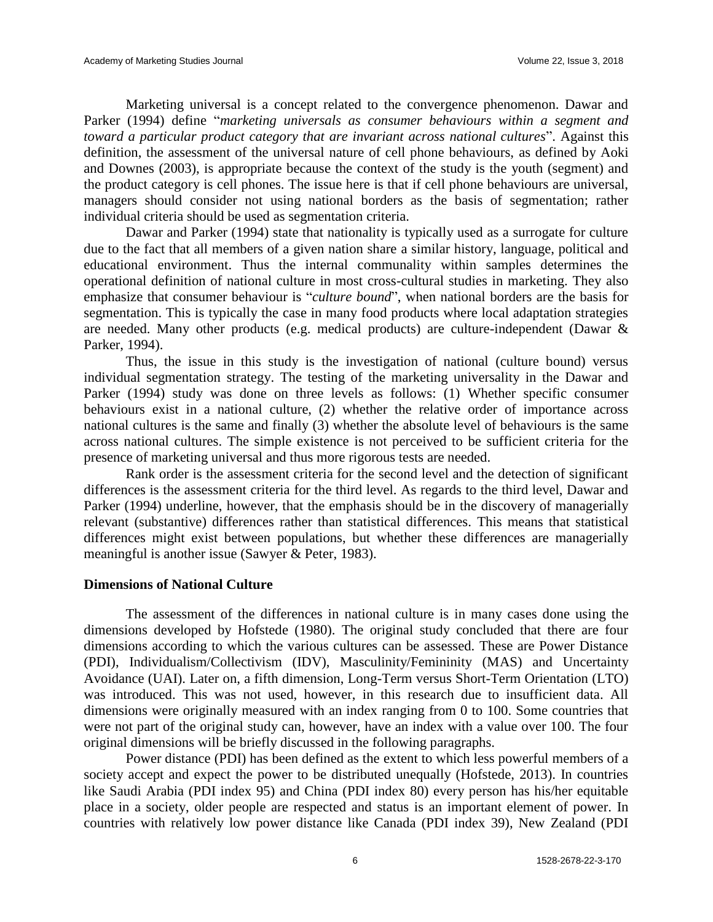Marketing universal is a concept related to the convergence phenomenon. Dawar and Parker (1994) define "*marketing universals as consumer behaviours within a segment and toward a particular product category that are invariant across national cultures*". Against this definition, the assessment of the universal nature of cell phone behaviours, as defined by Aoki and Downes (2003), is appropriate because the context of the study is the youth (segment) and the product category is cell phones. The issue here is that if cell phone behaviours are universal, managers should consider not using national borders as the basis of segmentation; rather individual criteria should be used as segmentation criteria.

Dawar and Parker (1994) state that nationality is typically used as a surrogate for culture due to the fact that all members of a given nation share a similar history, language, political and educational environment. Thus the internal communality within samples determines the operational definition of national culture in most cross-cultural studies in marketing. They also emphasize that consumer behaviour is "*culture bound*", when national borders are the basis for segmentation. This is typically the case in many food products where local adaptation strategies are needed. Many other products (e.g. medical products) are culture-independent (Dawar & Parker, 1994).

Thus, the issue in this study is the investigation of national (culture bound) versus individual segmentation strategy. The testing of the marketing universality in the Dawar and Parker (1994) study was done on three levels as follows: (1) Whether specific consumer behaviours exist in a national culture, (2) whether the relative order of importance across national cultures is the same and finally (3) whether the absolute level of behaviours is the same across national cultures. The simple existence is not perceived to be sufficient criteria for the presence of marketing universal and thus more rigorous tests are needed.

Rank order is the assessment criteria for the second level and the detection of significant differences is the assessment criteria for the third level. As regards to the third level, Dawar and Parker (1994) underline, however, that the emphasis should be in the discovery of managerially relevant (substantive) differences rather than statistical differences. This means that statistical differences might exist between populations, but whether these differences are managerially meaningful is another issue (Sawyer & Peter, 1983).

### **Dimensions of National Culture**

The assessment of the differences in national culture is in many cases done using the dimensions developed by Hofstede (1980). The original study concluded that there are four dimensions according to which the various cultures can be assessed. These are Power Distance (PDI), Individualism/Collectivism (IDV), Masculinity/Femininity (MAS) and Uncertainty Avoidance (UAI). Later on, a fifth dimension, Long-Term versus Short-Term Orientation (LTO) was introduced. This was not used, however, in this research due to insufficient data. All dimensions were originally measured with an index ranging from 0 to 100. Some countries that were not part of the original study can, however, have an index with a value over 100. The four original dimensions will be briefly discussed in the following paragraphs.

Power distance (PDI) has been defined as the extent to which less powerful members of a society accept and expect the power to be distributed unequally (Hofstede, 2013). In countries like Saudi Arabia (PDI index 95) and China (PDI index 80) every person has his/her equitable place in a society, older people are respected and status is an important element of power. In countries with relatively low power distance like Canada (PDI index 39), New Zealand (PDI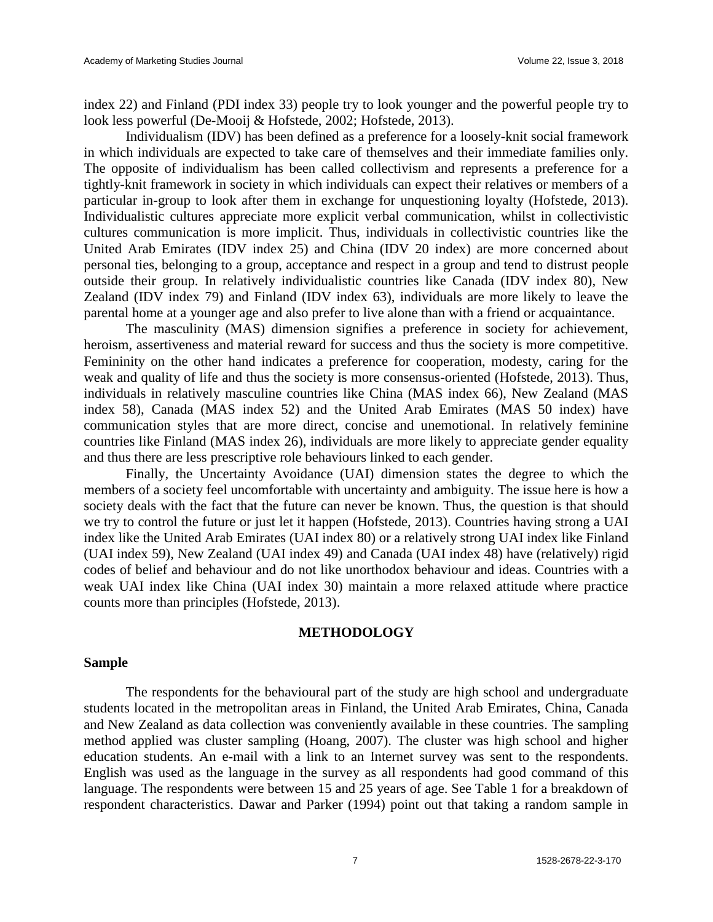index 22) and Finland (PDI index 33) people try to look younger and the powerful people try to look less powerful (De-Mooij & Hofstede, 2002; Hofstede, 2013).

Individualism (IDV) has been defined as a preference for a loosely-knit social framework in which individuals are expected to take care of themselves and their immediate families only. The opposite of individualism has been called collectivism and represents a preference for a tightly-knit framework in society in which individuals can expect their relatives or members of a particular in-group to look after them in exchange for unquestioning loyalty (Hofstede, 2013). Individualistic cultures appreciate more explicit verbal communication, whilst in collectivistic cultures communication is more implicit. Thus, individuals in collectivistic countries like the United Arab Emirates (IDV index 25) and China (IDV 20 index) are more concerned about personal ties, belonging to a group, acceptance and respect in a group and tend to distrust people outside their group. In relatively individualistic countries like Canada (IDV index 80), New Zealand (IDV index 79) and Finland (IDV index 63), individuals are more likely to leave the parental home at a younger age and also prefer to live alone than with a friend or acquaintance.

The masculinity (MAS) dimension signifies a preference in society for achievement, heroism, assertiveness and material reward for success and thus the society is more competitive. Femininity on the other hand indicates a preference for cooperation, modesty, caring for the weak and quality of life and thus the society is more consensus-oriented (Hofstede, 2013). Thus, individuals in relatively masculine countries like China (MAS index 66), New Zealand (MAS index 58), Canada (MAS index 52) and the United Arab Emirates (MAS 50 index) have communication styles that are more direct, concise and unemotional. In relatively feminine countries like Finland (MAS index 26), individuals are more likely to appreciate gender equality and thus there are less prescriptive role behaviours linked to each gender.

Finally, the Uncertainty Avoidance (UAI) dimension states the degree to which the members of a society feel uncomfortable with uncertainty and ambiguity. The issue here is how a society deals with the fact that the future can never be known. Thus, the question is that should we try to control the future or just let it happen (Hofstede, 2013). Countries having strong a UAI index like the United Arab Emirates (UAI index 80) or a relatively strong UAI index like Finland (UAI index 59), New Zealand (UAI index 49) and Canada (UAI index 48) have (relatively) rigid codes of belief and behaviour and do not like unorthodox behaviour and ideas. Countries with a weak UAI index like China (UAI index 30) maintain a more relaxed attitude where practice counts more than principles (Hofstede, 2013).

#### **METHODOLOGY**

#### **Sample**

The respondents for the behavioural part of the study are high school and undergraduate students located in the metropolitan areas in Finland, the United Arab Emirates, China, Canada and New Zealand as data collection was conveniently available in these countries. The sampling method applied was cluster sampling (Hoang, 2007). The cluster was high school and higher education students. An e-mail with a link to an Internet survey was sent to the respondents. English was used as the language in the survey as all respondents had good command of this language. The respondents were between 15 and 25 years of age. See Table 1 for a breakdown of respondent characteristics. Dawar and Parker (1994) point out that taking a random sample in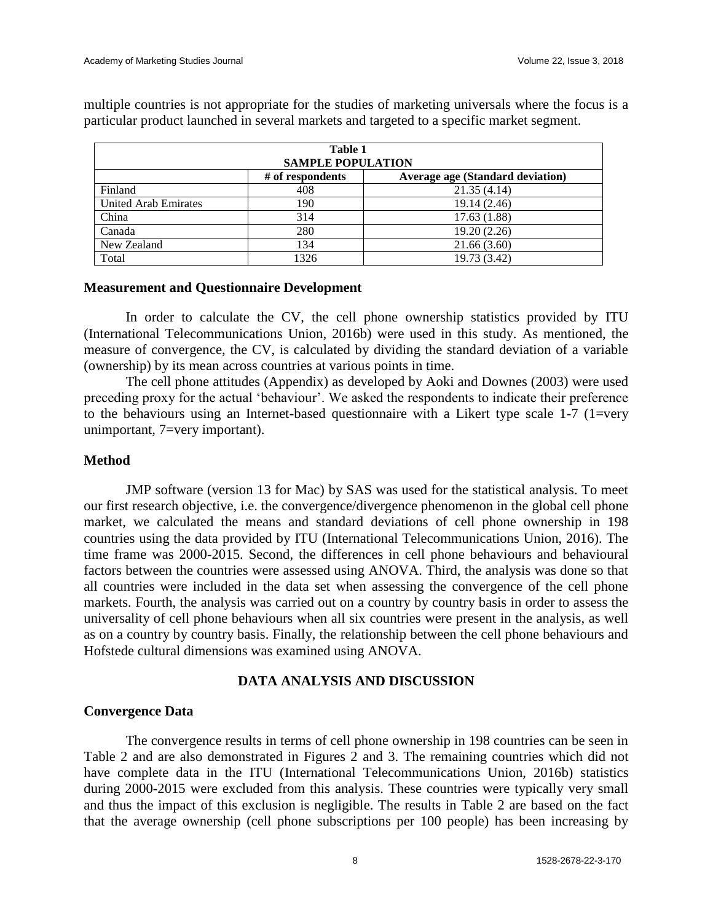| Table 1                                                     |      |              |  |  |  |  |  |  |  |  |
|-------------------------------------------------------------|------|--------------|--|--|--|--|--|--|--|--|
| <b>SAMPLE POPULATION</b>                                    |      |              |  |  |  |  |  |  |  |  |
| <b>Average age (Standard deviation)</b><br># of respondents |      |              |  |  |  |  |  |  |  |  |
| Finland                                                     | 408  | 21.35(4.14)  |  |  |  |  |  |  |  |  |
| <b>United Arab Emirates</b><br>19.14 (2.46)<br>190          |      |              |  |  |  |  |  |  |  |  |
| China                                                       | 314  | 17.63(1.88)  |  |  |  |  |  |  |  |  |
| Canada                                                      | 280  | 19.20 (2.26) |  |  |  |  |  |  |  |  |
| New Zealand                                                 | 134  | 21.66(3.60)  |  |  |  |  |  |  |  |  |
| Total                                                       | 1326 | 19.73 (3.42) |  |  |  |  |  |  |  |  |

multiple countries is not appropriate for the studies of marketing universals where the focus is a particular product launched in several markets and targeted to a specific market segment.

#### **Measurement and Questionnaire Development**

In order to calculate the CV, the cell phone ownership statistics provided by ITU (International Telecommunications Union, 2016b) were used in this study. As mentioned, the measure of convergence, the CV, is calculated by dividing the standard deviation of a variable (ownership) by its mean across countries at various points in time.

The cell phone attitudes (Appendix) as developed by Aoki and Downes (2003) were used preceding proxy for the actual 'behaviour'. We asked the respondents to indicate their preference to the behaviours using an Internet-based questionnaire with a Likert type scale 1-7 (1=very unimportant, 7=very important).

#### **Method**

JMP software (version 13 for Mac) by SAS was used for the statistical analysis. To meet our first research objective, i.e. the convergence/divergence phenomenon in the global cell phone market, we calculated the means and standard deviations of cell phone ownership in 198 countries using the data provided by ITU (International Telecommunications Union, 2016). The time frame was 2000-2015. Second, the differences in cell phone behaviours and behavioural factors between the countries were assessed using ANOVA. Third, the analysis was done so that all countries were included in the data set when assessing the convergence of the cell phone markets. Fourth, the analysis was carried out on a country by country basis in order to assess the universality of cell phone behaviours when all six countries were present in the analysis, as well as on a country by country basis. Finally, the relationship between the cell phone behaviours and Hofstede cultural dimensions was examined using ANOVA.

#### **DATA ANALYSIS AND DISCUSSION**

#### **Convergence Data**

The convergence results in terms of cell phone ownership in 198 countries can be seen in Table 2 and are also demonstrated in Figures 2 and 3. The remaining countries which did not have complete data in the ITU (International Telecommunications Union, 2016b) statistics during 2000-2015 were excluded from this analysis. These countries were typically very small and thus the impact of this exclusion is negligible. The results in Table 2 are based on the fact that the average ownership (cell phone subscriptions per 100 people) has been increasing by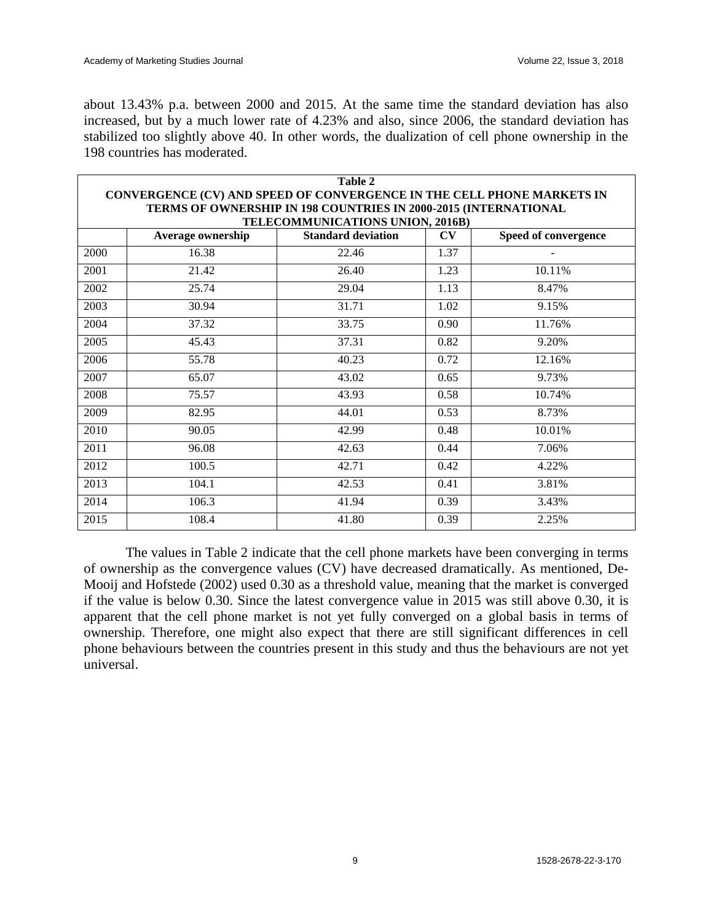about 13.43% p.a. between 2000 and 2015. At the same time the standard deviation has also increased, but by a much lower rate of 4.23% and also, since 2006, the standard deviation has stabilized too slightly above 40. In other words, the dualization of cell phone ownership in the 198 countries has moderated.

|                                  | <b>Table 2</b>                                                                                                                            |                           |      |                      |  |  |  |  |  |  |  |  |
|----------------------------------|-------------------------------------------------------------------------------------------------------------------------------------------|---------------------------|------|----------------------|--|--|--|--|--|--|--|--|
|                                  | CONVERGENCE (CV) AND SPEED OF CONVERGENCE IN THE CELL PHONE MARKETS IN<br>TERMS OF OWNERSHIP IN 198 COUNTRIES IN 2000-2015 (INTERNATIONAL |                           |      |                      |  |  |  |  |  |  |  |  |
| TELECOMMUNICATIONS UNION, 2016B) |                                                                                                                                           |                           |      |                      |  |  |  |  |  |  |  |  |
|                                  | <b>Average ownership</b>                                                                                                                  | <b>Standard deviation</b> | CV   | Speed of convergence |  |  |  |  |  |  |  |  |
| 2000                             | 16.38                                                                                                                                     | 22.46                     | 1.37 |                      |  |  |  |  |  |  |  |  |
| 2001                             | 21.42                                                                                                                                     | 26.40                     | 1.23 | 10.11%               |  |  |  |  |  |  |  |  |
| 2002                             | 25.74                                                                                                                                     | 29.04                     | 1.13 | 8.47%                |  |  |  |  |  |  |  |  |
| 2003                             | 30.94                                                                                                                                     | 31.71                     | 1.02 | 9.15%                |  |  |  |  |  |  |  |  |
| 2004                             | 37.32                                                                                                                                     | 33.75                     | 0.90 | 11.76%               |  |  |  |  |  |  |  |  |
| 2005                             | 45.43                                                                                                                                     | 37.31                     | 0.82 | 9.20%                |  |  |  |  |  |  |  |  |
| 2006                             | 55.78                                                                                                                                     | 40.23                     | 0.72 | 12.16%               |  |  |  |  |  |  |  |  |
| 2007                             | 65.07                                                                                                                                     | 43.02                     | 0.65 | 9.73%                |  |  |  |  |  |  |  |  |
| 2008                             | 75.57                                                                                                                                     | 43.93                     | 0.58 | 10.74%               |  |  |  |  |  |  |  |  |
| 2009                             | 82.95                                                                                                                                     | 44.01                     | 0.53 | 8.73%                |  |  |  |  |  |  |  |  |
| 2010                             | 90.05                                                                                                                                     | 42.99                     | 0.48 | 10.01%               |  |  |  |  |  |  |  |  |
| 2011                             | 96.08                                                                                                                                     | 42.63                     | 0.44 | 7.06%                |  |  |  |  |  |  |  |  |
| 2012                             | 100.5                                                                                                                                     | 42.71                     | 0.42 | 4.22%                |  |  |  |  |  |  |  |  |
| 2013                             | 104.1                                                                                                                                     | 42.53                     | 0.41 | 3.81%                |  |  |  |  |  |  |  |  |
| 2014                             | 106.3                                                                                                                                     | 41.94                     | 0.39 | 3.43%                |  |  |  |  |  |  |  |  |
| 2015                             | 108.4                                                                                                                                     | 41.80                     | 0.39 | 2.25%                |  |  |  |  |  |  |  |  |

The values in Table 2 indicate that the cell phone markets have been converging in terms of ownership as the convergence values (CV) have decreased dramatically. As mentioned, De-Mooij and Hofstede (2002) used 0.30 as a threshold value, meaning that the market is converged if the value is below 0.30. Since the latest convergence value in 2015 was still above 0.30, it is apparent that the cell phone market is not yet fully converged on a global basis in terms of ownership. Therefore, one might also expect that there are still significant differences in cell phone behaviours between the countries present in this study and thus the behaviours are not yet universal.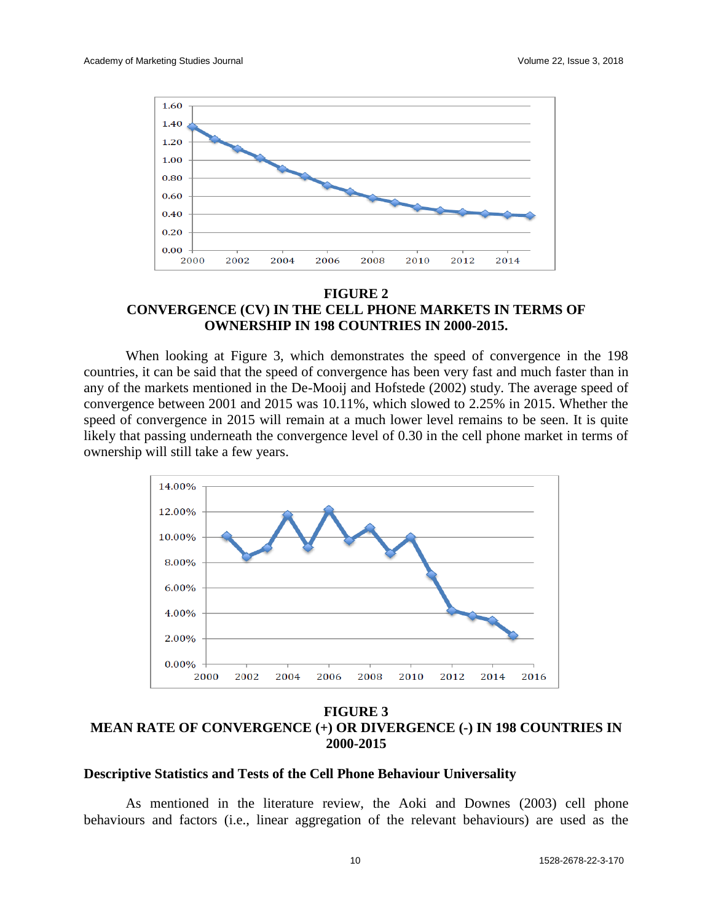

### **FIGURE 2 CONVERGENCE (CV) IN THE CELL PHONE MARKETS IN TERMS OF OWNERSHIP IN 198 COUNTRIES IN 2000-2015.**

When looking at Figure 3, which demonstrates the speed of convergence in the 198 countries, it can be said that the speed of convergence has been very fast and much faster than in any of the markets mentioned in the De-Mooij and Hofstede (2002) study. The average speed of convergence between 2001 and 2015 was 10.11%, which slowed to 2.25% in 2015. Whether the speed of convergence in 2015 will remain at a much lower level remains to be seen. It is quite likely that passing underneath the convergence level of 0.30 in the cell phone market in terms of ownership will still take a few years.



**FIGURE 3 MEAN RATE OF CONVERGENCE (+) OR DIVERGENCE (-) IN 198 COUNTRIES IN 2000-2015**

#### **Descriptive Statistics and Tests of the Cell Phone Behaviour Universality**

As mentioned in the literature review, the Aoki and Downes (2003) cell phone behaviours and factors (i.e., linear aggregation of the relevant behaviours) are used as the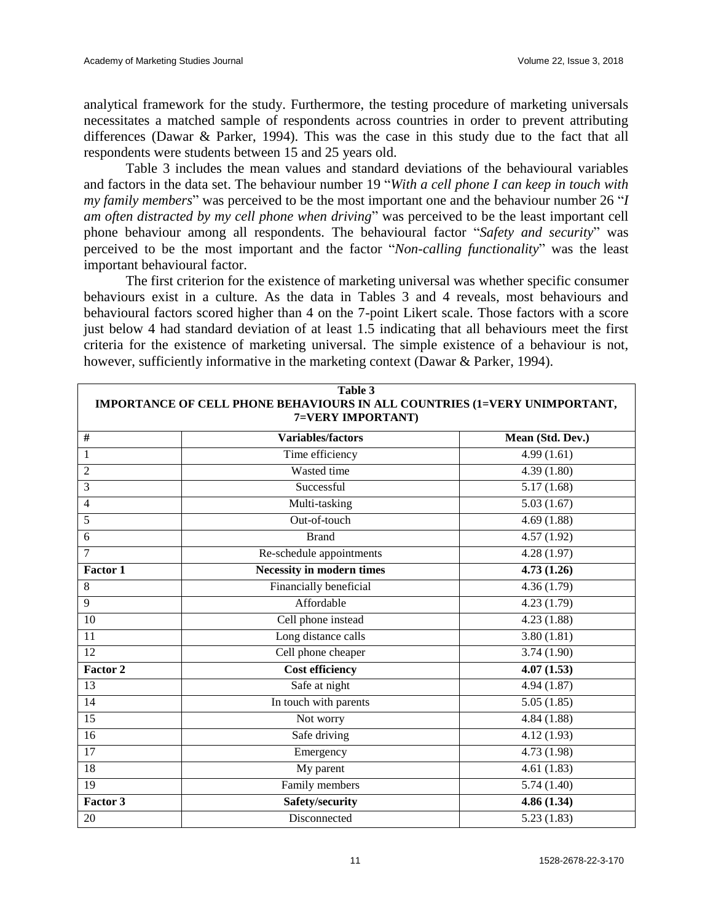analytical framework for the study. Furthermore, the testing procedure of marketing universals necessitates a matched sample of respondents across countries in order to prevent attributing differences (Dawar & Parker, 1994). This was the case in this study due to the fact that all respondents were students between 15 and 25 years old.

Table 3 includes the mean values and standard deviations of the behavioural variables and factors in the data set. The behaviour number 19 "*With a cell phone I can keep in touch with my family members*" was perceived to be the most important one and the behaviour number 26 "*I am often distracted by my cell phone when driving*" was perceived to be the least important cell phone behaviour among all respondents. The behavioural factor "*Safety and security*" was perceived to be the most important and the factor "*Non-calling functionality*" was the least important behavioural factor.

The first criterion for the existence of marketing universal was whether specific consumer behaviours exist in a culture. As the data in Tables 3 and 4 reveals, most behaviours and behavioural factors scored higher than 4 on the 7-point Likert scale. Those factors with a score just below 4 had standard deviation of at least 1.5 indicating that all behaviours meet the first criteria for the existence of marketing universal. The simple existence of a behaviour is not, however, sufficiently informative in the marketing context (Dawar & Parker, 1994).

|                | Table 3<br>IMPORTANCE OF CELL PHONE BEHAVIOURS IN ALL COUNTRIES (1=VERY UNIMPORTANT,<br>7=VERY IMPORTANT) |                  |
|----------------|-----------------------------------------------------------------------------------------------------------|------------------|
| #              | <b>Variables/factors</b>                                                                                  | Mean (Std. Dev.) |
| $\mathbf{1}$   | Time efficiency                                                                                           | 4.99(1.61)       |
| $\overline{2}$ | Wasted time                                                                                               | 4.39(1.80)       |
| 3              | Successful                                                                                                | 5.17(1.68)       |
| 4              | Multi-tasking                                                                                             | 5.03(1.67)       |
| 5              | Out-of-touch                                                                                              | 4.69(1.88)       |
| 6              | <b>Brand</b>                                                                                              | 4.57(1.92)       |
| $\overline{7}$ | Re-schedule appointments                                                                                  | 4.28(1.97)       |
| Factor 1       | <b>Necessity in modern times</b>                                                                          | 4.73(1.26)       |
| 8              | Financially beneficial                                                                                    | 4.36(1.79)       |
| 9              | Affordable                                                                                                | 4.23(1.79)       |
| 10             | Cell phone instead                                                                                        | 4.23(1.88)       |
| 11             | Long distance calls                                                                                       | 3.80(1.81)       |
| 12             | Cell phone cheaper                                                                                        | 3.74(1.90)       |
| Factor 2       | <b>Cost efficiency</b>                                                                                    | 4.07(1.53)       |
| 13             | Safe at night                                                                                             | 4.94(1.87)       |
| 14             | In touch with parents                                                                                     | 5.05(1.85)       |
| 15             | Not worry                                                                                                 | 4.84(1.88)       |
| 16             | Safe driving                                                                                              | 4.12(1.93)       |
| 17             | Emergency                                                                                                 | 4.73 (1.98)      |
| 18             | My parent                                                                                                 | 4.61(1.83)       |
| 19             | Family members                                                                                            | 5.74(1.40)       |
| Factor 3       | Safety/security                                                                                           | 4.86(1.34)       |
| 20             | Disconnected                                                                                              | 5.23(1.83)       |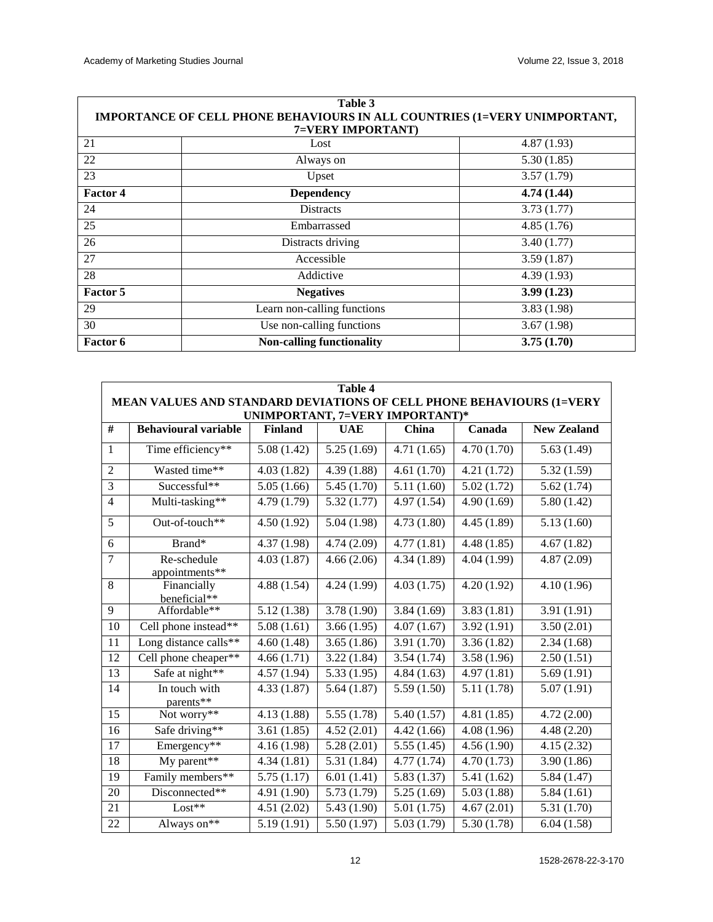| Table 3           |                                                                           |             |  |  |  |  |  |  |  |  |  |  |
|-------------------|---------------------------------------------------------------------------|-------------|--|--|--|--|--|--|--|--|--|--|
|                   | IMPORTANCE OF CELL PHONE BEHAVIOURS IN ALL COUNTRIES (1=VERY UNIMPORTANT, |             |  |  |  |  |  |  |  |  |  |  |
| 7=VERY IMPORTANT) |                                                                           |             |  |  |  |  |  |  |  |  |  |  |
| 21                | Lost                                                                      | 4.87(1.93)  |  |  |  |  |  |  |  |  |  |  |
| 22                | Always on                                                                 | 5.30(1.85)  |  |  |  |  |  |  |  |  |  |  |
| 23                | Upset                                                                     | 3.57(1.79)  |  |  |  |  |  |  |  |  |  |  |
| <b>Factor 4</b>   | <b>Dependency</b>                                                         | 4.74 (1.44) |  |  |  |  |  |  |  |  |  |  |
| 24                | <b>Distracts</b>                                                          | 3.73(1.77)  |  |  |  |  |  |  |  |  |  |  |
| 25                | Embarrassed                                                               | 4.85(1.76)  |  |  |  |  |  |  |  |  |  |  |
| 26                | Distracts driving                                                         | 3.40(1.77)  |  |  |  |  |  |  |  |  |  |  |
| 27                | Accessible                                                                | 3.59(1.87)  |  |  |  |  |  |  |  |  |  |  |
| 28                | Addictive                                                                 | 4.39(1.93)  |  |  |  |  |  |  |  |  |  |  |
| Factor 5          | <b>Negatives</b>                                                          | 3.99(1.23)  |  |  |  |  |  |  |  |  |  |  |
| 29                | Learn non-calling functions                                               | 3.83(1.98)  |  |  |  |  |  |  |  |  |  |  |
| 30                | Use non-calling functions                                                 | 3.67(1.98)  |  |  |  |  |  |  |  |  |  |  |
| <b>Factor 6</b>   | <b>Non-calling functionality</b>                                          | 3.75(1.70)  |  |  |  |  |  |  |  |  |  |  |

|                                                                                   | <b>Table 4</b>                                                                                                                               |             |             |             |             |             |  |  |  |  |  |  |  |  |
|-----------------------------------------------------------------------------------|----------------------------------------------------------------------------------------------------------------------------------------------|-------------|-------------|-------------|-------------|-------------|--|--|--|--|--|--|--|--|
| MEAN VALUES AND STANDARD DEVIATIONS OF CELL PHONE BEHAVIOURS (1=VERY              |                                                                                                                                              |             |             |             |             |             |  |  |  |  |  |  |  |  |
|                                                                                   | UNIMPORTANT, 7=VERY IMPORTANT)*<br>#<br><b>Behavioural variable</b><br><b>UAE</b><br>China<br><b>New Zealand</b><br><b>Finland</b><br>Canada |             |             |             |             |             |  |  |  |  |  |  |  |  |
|                                                                                   |                                                                                                                                              |             |             |             |             |             |  |  |  |  |  |  |  |  |
| $\mathbf{1}$                                                                      | Time efficiency**                                                                                                                            | 5.08(1.42)  | 5.25(1.69)  | 4.71(1.65)  | 4.70(1.70)  | 5.63(1.49)  |  |  |  |  |  |  |  |  |
| $\overline{2}$                                                                    | Wasted time**                                                                                                                                | 4.03(1.82)  | 4.39(1.88)  | 4.61(1.70)  | 4.21(1.72)  | 5.32(1.59)  |  |  |  |  |  |  |  |  |
| 3                                                                                 | Successful**                                                                                                                                 | 5.05(1.66)  | 5.45(1.70)  | 5.11(1.60)  | 5.02(1.72)  | 5.62(1.74)  |  |  |  |  |  |  |  |  |
| $\overline{4}$                                                                    | Multi-tasking**                                                                                                                              | 4.79 (1.79) | 5.32(1.77)  | 4.97(1.54)  | 4.90(1.69)  | 5.80(1.42)  |  |  |  |  |  |  |  |  |
| 5                                                                                 | Out-of-touch**                                                                                                                               | 4.50(1.92)  | 5.04(1.98)  | 4.73(1.80)  | 4.45(1.89)  | 5.13(1.60)  |  |  |  |  |  |  |  |  |
| 6<br>Brand*<br>4.37(1.98)<br>4.74(2.09)<br>4.77(1.81)<br>4.48(1.85)<br>4.67(1.82) |                                                                                                                                              |             |             |             |             |             |  |  |  |  |  |  |  |  |
| 7                                                                                 | Re-schedule<br>appointments**                                                                                                                | 4.03(1.87)  | 4.66(2.06)  | 4.34(1.89)  | 4.04 (1.99) | 4.87(2.09)  |  |  |  |  |  |  |  |  |
| 8                                                                                 | Financially                                                                                                                                  | 4.88(1.54)  | 4.24(1.99)  | 4.03(1.75)  | 4.20(1.92)  | 4.10(1.96)  |  |  |  |  |  |  |  |  |
| 9                                                                                 | beneficial**<br>Affordable**                                                                                                                 | 5.12(1.38)  | 3.78(1.90)  | 3.84(1.69)  | 3.83(1.81)  | 3.91(1.91)  |  |  |  |  |  |  |  |  |
|                                                                                   |                                                                                                                                              |             |             |             |             |             |  |  |  |  |  |  |  |  |
| 10                                                                                | Cell phone instead**                                                                                                                         | 5.08(1.61)  | 3.66(1.95)  | 4.07(1.67)  | 3.92(1.91)  | 3.50(2.01)  |  |  |  |  |  |  |  |  |
| 11                                                                                | Long distance calls**                                                                                                                        | 4.60(1.48)  | 3.65(1.86)  | 3.91 (1.70) | 3.36(1.82)  | 2.34(1.68)  |  |  |  |  |  |  |  |  |
| $\overline{12}$                                                                   | Cell phone cheaper**                                                                                                                         | 4.66(1.71)  | 3.22(1.84)  | 3.54(1.74)  | 3.58(1.96)  | 2.50(1.51)  |  |  |  |  |  |  |  |  |
| 13                                                                                | Safe at night**                                                                                                                              | 4.57(1.94)  | 5.33(1.95)  | 4.84(1.63)  | 4.97(1.81)  | 5.69(1.91)  |  |  |  |  |  |  |  |  |
| 14                                                                                | In touch with<br>parents**                                                                                                                   | 4.33(1.87)  | 5.64(1.87)  | 5.59(1.50)  | 5.11(1.78)  | 5.07(1.91)  |  |  |  |  |  |  |  |  |
| 15                                                                                | Not worry**                                                                                                                                  | 4.13(1.88)  | 5.55(1.78)  | 5.40(1.57)  | 4.81(1.85)  | 4.72(2.00)  |  |  |  |  |  |  |  |  |
| 16                                                                                | Safe driving**                                                                                                                               | 3.61(1.85)  | 4.52(2.01)  | 4.42(1.66)  | 4.08(1.96)  | 4.48 (2.20) |  |  |  |  |  |  |  |  |
| 17                                                                                | Emergency**                                                                                                                                  | 4.16(1.98)  | 5.28(2.01)  | 5.55(1.45)  | 4.56(1.90)  | 4.15(2.32)  |  |  |  |  |  |  |  |  |
| 18                                                                                | My parent**                                                                                                                                  | 4.34(1.81)  | 5.31(1.84)  | 4.77(1.74)  | 4.70(1.73)  | 3.90(1.86)  |  |  |  |  |  |  |  |  |
| 19                                                                                | Family members**                                                                                                                             | 5.75(1.17)  | 6.01(1.41)  | 5.83(1.37)  | 5.41(1.62)  | 5.84(1.47)  |  |  |  |  |  |  |  |  |
| 20                                                                                | Disconnected**                                                                                                                               | 4.91 (1.90) | 5.73 (1.79) | 5.25(1.69)  | 5.03(1.88)  | 5.84(1.61)  |  |  |  |  |  |  |  |  |
| 21                                                                                | $Last**$                                                                                                                                     | 4.51(2.02)  | 5.43 (1.90) | 5.01(1.75)  | 4.67(2.01)  | 5.31(1.70)  |  |  |  |  |  |  |  |  |
| 22                                                                                | Always on**                                                                                                                                  | 5.19(1.91)  | 5.50(1.97)  | 5.03(1.79)  | 5.30(1.78)  | 6.04(1.58)  |  |  |  |  |  |  |  |  |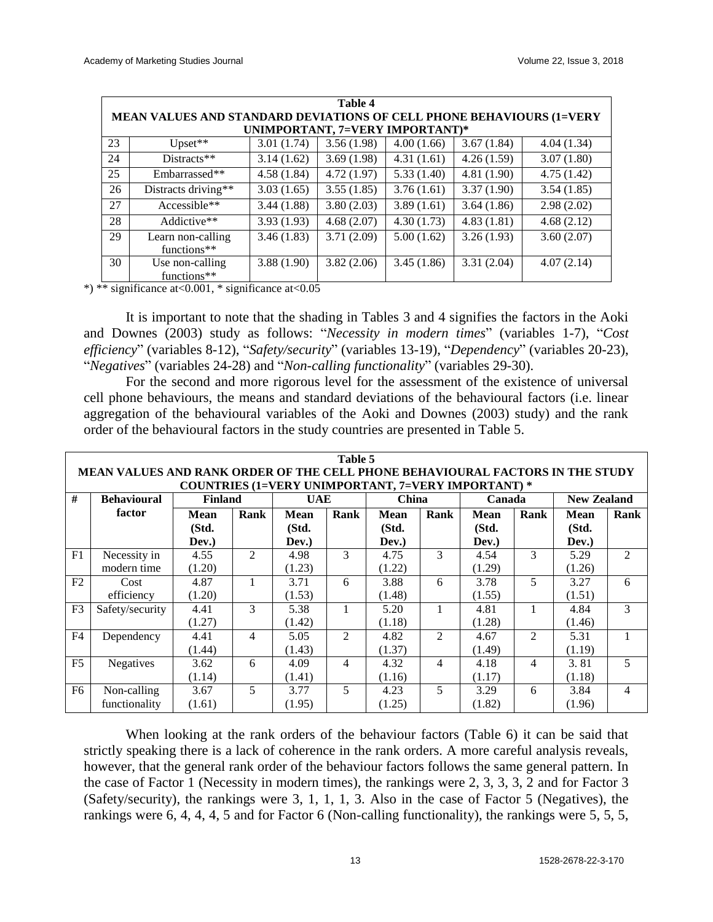|    | Table 4                                                                                                        |                      |            |            |            |            |  |  |  |  |  |  |  |
|----|----------------------------------------------------------------------------------------------------------------|----------------------|------------|------------|------------|------------|--|--|--|--|--|--|--|
|    | <b>MEAN VALUES AND STANDARD DEVIATIONS OF CELL PHONE BEHAVIOURS (1=VERY</b><br>UNIMPORTANT, 7=VERY IMPORTANT)* |                      |            |            |            |            |  |  |  |  |  |  |  |
| 23 | $Upset**$                                                                                                      | 3.01(1.74)           | 3.56(1.98) | 4.00(1.66) | 3.67(1.84) | 4.04(1.34) |  |  |  |  |  |  |  |
| 24 | $Distracts**$                                                                                                  | 3.14(1.62)           | 3.69(1.98) | 4.31(1.61) | 4.26(1.59) | 3.07(1.80) |  |  |  |  |  |  |  |
| 25 | Embarrassed**                                                                                                  | 4.58(1.84)           | 4.72(1.97) | 5.33(1.40) | 4.81(1.90) | 4.75(1.42) |  |  |  |  |  |  |  |
| 26 | Distracts driving**                                                                                            | 3.03(1.65)           | 3.55(1.85) | 3.76(1.61) | 3.37(1.90) | 3.54(1.85) |  |  |  |  |  |  |  |
| 27 | Accessible**                                                                                                   | 3.44(1.88)           | 3.80(2.03) | 3.89(1.61) | 3.64(1.86) | 2.98(2.02) |  |  |  |  |  |  |  |
| 28 | Addictive**                                                                                                    | 3.93(1.93)           | 4.68(2.07) | 4.30(1.73) | 4.83(1.81) | 4.68(2.12) |  |  |  |  |  |  |  |
| 29 | Learn non-calling<br>functions**                                                                               | 3.46(1.83)           | 3.71(2.09) | 5.00(1.62) | 3.26(1.93) | 3.60(2.07) |  |  |  |  |  |  |  |
| 30 | Use non-calling                                                                                                | 3.88(1.90)           | 3.82(2.06) | 3.45(1.86) | 3.31(2.04) | 4.07(2.14) |  |  |  |  |  |  |  |
|    | functions**<br>$\cdot$ $\sim$                                                                                  | $\sim$ $\sim$ $\sim$ |            |            |            |            |  |  |  |  |  |  |  |

\*) \*\* significance at<0.001, \* significance at<0.05

It is important to note that the shading in Tables 3 and 4 signifies the factors in the Aoki and Downes (2003) study as follows: "*Necessity in modern times*" (variables 1-7), "*Cost efficiency*" (variables 8-12), "*Safety/security*" (variables 13-19), "*Dependency*" (variables 20-23), "*Negatives*" (variables 24-28) and "*Non-calling functionality*" (variables 29-30).

For the second and more rigorous level for the assessment of the existence of universal cell phone behaviours, the means and standard deviations of the behavioural factors (i.e. linear aggregation of the behavioural variables of the Aoki and Downes (2003) study) and the rank order of the behavioural factors in the study countries are presented in Table 5.

|                                                                                                  | Table 5<br>MEAN VALUES AND RANK ORDER OF THE CELL PHONE BEHAVIOURAL FACTORS IN THE STUDY<br><b>COUNTRIES (1=VERY UNIMPORTANT, 7=VERY IMPORTANT) *</b> |             |                |             |                |             |                |        |                |        |                |  |  |  |  |
|--------------------------------------------------------------------------------------------------|-------------------------------------------------------------------------------------------------------------------------------------------------------|-------------|----------------|-------------|----------------|-------------|----------------|--------|----------------|--------|----------------|--|--|--|--|
| #<br><b>Behavioural</b><br>China<br><b>Finland</b><br><b>UAE</b><br><b>New Zealand</b><br>Canada |                                                                                                                                                       |             |                |             |                |             |                |        |                |        |                |  |  |  |  |
|                                                                                                  | factor                                                                                                                                                | <b>Mean</b> | Rank           | <b>Mean</b> | Rank           | <b>Mean</b> | Rank           | Rank   | <b>Mean</b>    | Rank   |                |  |  |  |  |
|                                                                                                  |                                                                                                                                                       | (Std.       |                | (Std.       |                | (Std.       |                | (Std.  |                | (Std.  |                |  |  |  |  |
|                                                                                                  |                                                                                                                                                       | Dev.)       |                | Dev.)       |                | Dev.)       |                | Dev.)  |                | Dev.)  |                |  |  |  |  |
| F1                                                                                               | Necessity in                                                                                                                                          | 4.55        | $\mathfrak{D}$ | 4.98        | 3              | 4.75        | 3              | 4.54   | 3              | 5.29   | $\mathfrak{D}$ |  |  |  |  |
|                                                                                                  | modern time                                                                                                                                           | (1.20)      |                | (1.23)      |                | (1.22)      |                | (1.29) |                | (1.26) |                |  |  |  |  |
| F2                                                                                               | Cost                                                                                                                                                  | 4.87        | 1              | 3.71        | 6              | 3.88        | 6              | 3.78   | 5              | 3.27   | 6              |  |  |  |  |
|                                                                                                  | efficiency                                                                                                                                            | (1.20)      |                | (1.53)      |                | (1.48)      |                | (1.55) |                | (1.51) |                |  |  |  |  |
| F <sub>3</sub>                                                                                   | Safety/security                                                                                                                                       | 4.41        | 3              | 5.38        | 1              | 5.20        | 1              | 4.81   | 1              | 4.84   | 3              |  |  |  |  |
|                                                                                                  |                                                                                                                                                       | (1.27)      |                | (1.42)      |                | (1.18)      |                | (1.28) |                | (1.46) |                |  |  |  |  |
| F4                                                                                               | Dependency                                                                                                                                            | 4.41        | $\overline{4}$ | 5.05        | $\mathfrak{D}$ | 4.82        | $\mathfrak{D}$ | 4.67   | $\mathfrak{D}$ | 5.31   | 1              |  |  |  |  |
|                                                                                                  |                                                                                                                                                       | (1.44)      |                | (1.43)      |                | (1.37)      |                | (1.49) |                | (1.19) |                |  |  |  |  |
| F <sub>5</sub>                                                                                   | Negatives                                                                                                                                             | 3.62        | 6              | 4.09        | $\overline{4}$ | 4.32        | $\overline{4}$ | 4.18   | 4              | 3.81   | 5              |  |  |  |  |
|                                                                                                  |                                                                                                                                                       | (1.14)      |                | (1.41)      |                | (1.16)      |                | (1.17) |                | (1.18) |                |  |  |  |  |
| F6                                                                                               | Non-calling                                                                                                                                           | 3.67        | 5              | 3.77        | 5              | 4.23        | 5              | 3.29   | 6              | 3.84   | $\overline{4}$ |  |  |  |  |
|                                                                                                  | functionality                                                                                                                                         | (1.61)      |                | (1.95)      |                | (1.25)      |                | (1.82) |                | (1.96) |                |  |  |  |  |

When looking at the rank orders of the behaviour factors (Table 6) it can be said that strictly speaking there is a lack of coherence in the rank orders. A more careful analysis reveals, however, that the general rank order of the behaviour factors follows the same general pattern. In the case of Factor 1 (Necessity in modern times), the rankings were 2, 3, 3, 3, 2 and for Factor 3 (Safety/security), the rankings were 3, 1, 1, 1, 3. Also in the case of Factor 5 (Negatives), the rankings were 6, 4, 4, 4, 5 and for Factor 6 (Non-calling functionality), the rankings were 5, 5, 5,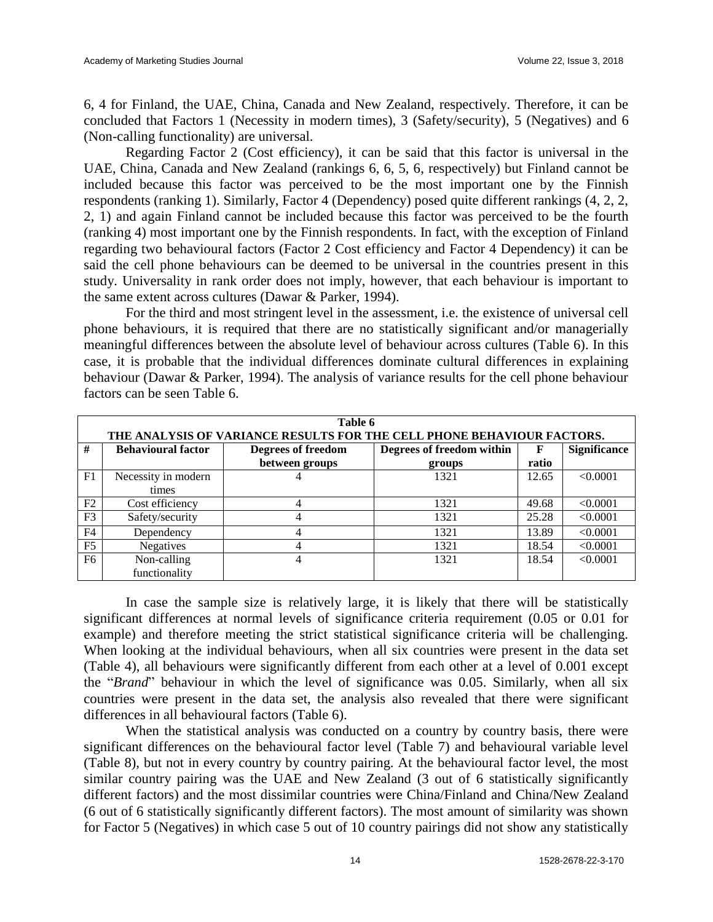6, 4 for Finland, the UAE, China, Canada and New Zealand, respectively. Therefore, it can be concluded that Factors 1 (Necessity in modern times), 3 (Safety/security), 5 (Negatives) and 6 (Non-calling functionality) are universal.

Regarding Factor 2 (Cost efficiency), it can be said that this factor is universal in the UAE, China, Canada and New Zealand (rankings 6, 6, 5, 6, respectively) but Finland cannot be included because this factor was perceived to be the most important one by the Finnish respondents (ranking 1). Similarly, Factor 4 (Dependency) posed quite different rankings (4, 2, 2, 2, 1) and again Finland cannot be included because this factor was perceived to be the fourth (ranking 4) most important one by the Finnish respondents. In fact, with the exception of Finland regarding two behavioural factors (Factor 2 Cost efficiency and Factor 4 Dependency) it can be said the cell phone behaviours can be deemed to be universal in the countries present in this study. Universality in rank order does not imply, however, that each behaviour is important to the same extent across cultures (Dawar & Parker, 1994).

For the third and most stringent level in the assessment, i.e. the existence of universal cell phone behaviours, it is required that there are no statistically significant and/or managerially meaningful differences between the absolute level of behaviour across cultures (Table 6). In this case, it is probable that the individual differences dominate cultural differences in explaining behaviour (Dawar & Parker, 1994). The analysis of variance results for the cell phone behaviour factors can be seen Table 6.

|                | Table 6                                                                |                           |                           |              |                     |  |  |  |  |  |  |  |  |
|----------------|------------------------------------------------------------------------|---------------------------|---------------------------|--------------|---------------------|--|--|--|--|--|--|--|--|
|                | THE ANALYSIS OF VARIANCE RESULTS FOR THE CELL PHONE BEHAVIOUR FACTORS. |                           |                           |              |                     |  |  |  |  |  |  |  |  |
| #              | <b>Behavioural factor</b>                                              | <b>Degrees of freedom</b> | Degrees of freedom within | $\mathbf{F}$ | <b>Significance</b> |  |  |  |  |  |  |  |  |
|                |                                                                        | between groups            | groups                    | ratio        |                     |  |  |  |  |  |  |  |  |
| F <sub>1</sub> | Necessity in modern                                                    | 4                         | 1321                      | 12.65        | < 0.0001            |  |  |  |  |  |  |  |  |
|                | times                                                                  |                           |                           |              |                     |  |  |  |  |  |  |  |  |
| F2             | Cost efficiency                                                        | 4                         | 1321                      | 49.68        | < 0.0001            |  |  |  |  |  |  |  |  |
| F <sub>3</sub> | Safety/security                                                        | 4                         | 1321                      | 25.28        | < 0.0001            |  |  |  |  |  |  |  |  |
| F <sub>4</sub> | Dependency                                                             | 4                         | 1321                      | 13.89        | < 0.0001            |  |  |  |  |  |  |  |  |
| F <sub>5</sub> | <b>Negatives</b>                                                       | 4                         | 1321                      | 18.54        | < 0.0001            |  |  |  |  |  |  |  |  |
| F <sub>6</sub> | Non-calling                                                            | 4                         | 1321                      | 18.54        | < 0.0001            |  |  |  |  |  |  |  |  |
|                | functionality                                                          |                           |                           |              |                     |  |  |  |  |  |  |  |  |

In case the sample size is relatively large, it is likely that there will be statistically significant differences at normal levels of significance criteria requirement (0.05 or 0.01 for example) and therefore meeting the strict statistical significance criteria will be challenging. When looking at the individual behaviours, when all six countries were present in the data set (Table 4), all behaviours were significantly different from each other at a level of 0.001 except the "*Brand*" behaviour in which the level of significance was 0.05. Similarly, when all six countries were present in the data set, the analysis also revealed that there were significant differences in all behavioural factors (Table 6).

When the statistical analysis was conducted on a country by country basis, there were significant differences on the behavioural factor level (Table 7) and behavioural variable level (Table 8), but not in every country by country pairing. At the behavioural factor level, the most similar country pairing was the UAE and New Zealand (3 out of 6 statistically significantly different factors) and the most dissimilar countries were China/Finland and China/New Zealand (6 out of 6 statistically significantly different factors). The most amount of similarity was shown for Factor 5 (Negatives) in which case 5 out of 10 country pairings did not show any statistically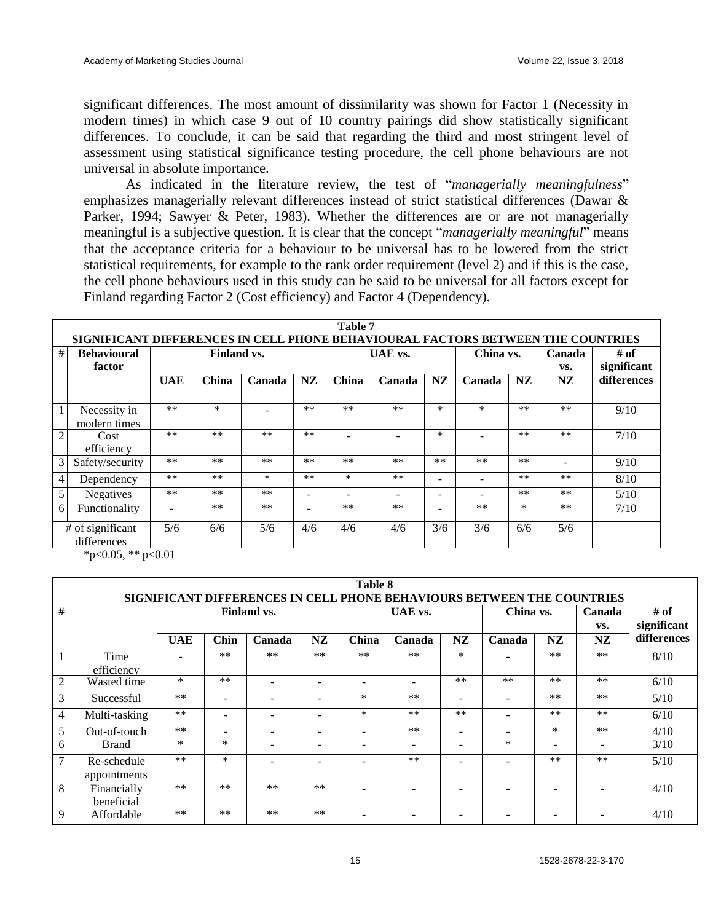significant differences. The most amount of dissimilarity was shown for Factor 1 (Necessity in modern times) in which case 9 out of 10 country pairings did show statistically significant differences. To conclude, it can be said that regarding the third and most stringent level of assessment using statistical significance testing procedure, the cell phone behaviours are not universal in absolute importance.

As indicated in the literature review, the test of "*managerially meaningfulness*" emphasizes managerially relevant differences instead of strict statistical differences (Dawar & Parker, 1994; Sawyer & Peter, 1983). Whether the differences are or are not managerially meaningful is a subjective question. It is clear that the concept "*managerially meaningful*" means that the acceptance criteria for a behaviour to be universal has to be lowered from the strict statistical requirements, for example to the rank order requirement (level 2) and if this is the case, the cell phone behaviours used in this study can be said to be universal for all factors except for Finland regarding Factor 2 (Cost efficiency) and Factor 4 (Dependency).

|                | Table 7                                                                         |            |                    |        |           |       |         |                          |        |           |      |             |  |  |
|----------------|---------------------------------------------------------------------------------|------------|--------------------|--------|-----------|-------|---------|--------------------------|--------|-----------|------|-------------|--|--|
|                | SIGNIFICANT DIFFERENCES IN CELL PHONE BEHAVIOURAL FACTORS BETWEEN THE COUNTRIES |            |                    |        |           |       |         |                          |        |           |      |             |  |  |
| #              | <b>Behavioural</b>                                                              |            | <b>Finland vs.</b> |        |           |       | UAE vs. |                          |        | China vs. |      | # of        |  |  |
|                | factor                                                                          |            |                    |        |           |       |         |                          |        |           | VS.  | significant |  |  |
|                |                                                                                 | <b>UAE</b> | China              | Canada | <b>NZ</b> | China | Canada  | NZ                       | Canada | NZ        | NZ.  | differences |  |  |
|                |                                                                                 |            |                    |        |           |       |         |                          |        |           |      |             |  |  |
|                | Necessity in                                                                    | $**$       | *                  |        | $**$      | $***$ | $**$    | $\ast$                   | $\ast$ | $**$      | $**$ | 9/10        |  |  |
|                | modern times                                                                    |            |                    |        |           |       |         |                          |        |           |      |             |  |  |
| $\overline{c}$ | Cost                                                                            | $**$       | $**$               | $**$   | $**$      |       |         | $\ast$                   |        | $**$      | $**$ | 7/10        |  |  |
|                | efficiency                                                                      |            |                    |        |           |       |         |                          |        |           |      |             |  |  |
| 3              | Safety/security                                                                 | $**$       | $**$               | $**$   | $***$     | $**$  | $**$    | $***$                    | $**$   | $**$      |      | 9/10        |  |  |
| 4              | Dependency                                                                      | $***$      | $***$              | $\ast$ | $**$      | *     | $**$    |                          |        | $**$      | $**$ | 8/10        |  |  |
| 5              | Negatives                                                                       | $**$       | $***$              | $***$  | -         |       |         | $\overline{\phantom{0}}$ |        | $***$     | $**$ | 5/10        |  |  |
| 6              | Functionality                                                                   | ÷          | $***$              | **     | -         | **    | **      |                          | $**$   | $\ast$    | $**$ | 7/10        |  |  |
|                | # of significant<br>differences                                                 | 5/6        | 6/6                | 5/6    | 4/6       | 4/6   | 4/6     | 3/6                      | 3/6    | 6/6       | 5/6  |             |  |  |

\*p<0.05, \*\* p<0.01

|                | Table 8                                                                |            |       |             |                          |                          |         |                          |           |                |        |             |  |  |  |
|----------------|------------------------------------------------------------------------|------------|-------|-------------|--------------------------|--------------------------|---------|--------------------------|-----------|----------------|--------|-------------|--|--|--|
|                | SIGNIFICANT DIFFERENCES IN CELL PHONE BEHAVIOURS BETWEEN THE COUNTRIES |            |       |             |                          |                          |         |                          |           |                |        |             |  |  |  |
| #              |                                                                        |            |       | Finland vs. |                          |                          | UAE vs. |                          | China vs. |                | Canada | $#$ of      |  |  |  |
|                |                                                                        |            |       |             |                          |                          |         |                          |           |                | VS.    | significant |  |  |  |
|                |                                                                        | <b>UAE</b> | Chin  | Canada      | <b>NZ</b>                | China                    | Canada  | NZ                       | Canada    | NZ             | NZ     | differences |  |  |  |
|                | Time                                                                   |            | $***$ | $**$        | $**$                     | $***$                    | $***$   | $\ast$                   |           | $**$           | $**$   | 8/10        |  |  |  |
|                | efficiency                                                             |            |       |             |                          |                          |         |                          |           |                |        |             |  |  |  |
| 2              | Wasted time                                                            | $\ast$     | $***$ |             |                          |                          |         | $**$                     | $**$      | $**$           | $***$  | 6/10        |  |  |  |
| 3              | Successful                                                             | $**$       |       |             |                          | $\ast$                   | $***$   | -                        |           | $**$           | $***$  | 5/10        |  |  |  |
| $\overline{4}$ | Multi-tasking                                                          | $**$       |       |             |                          | $\ast$                   | $**$    | $**$                     |           | $**$           | $**$   | 6/10        |  |  |  |
| 5              | Out-of-touch                                                           | $***$      | ۰     |             | $\overline{\phantom{a}}$ | $\overline{\phantom{0}}$ | $***$   | $\blacksquare$           | Ξ.        | $\ast$         | $***$  | 4/10        |  |  |  |
| 6              | <b>Brand</b>                                                           | $\ast$     | *     |             | $\overline{\phantom{0}}$ | $\overline{\phantom{0}}$ |         | $\overline{\phantom{0}}$ | $\ast$    | $\blacksquare$ |        | 3/10        |  |  |  |
| 7              | Re-schedule                                                            | $***$      | *     |             |                          |                          | $***$   |                          |           | $**$           | $**$   | 5/10        |  |  |  |
|                | appointments                                                           |            |       |             |                          |                          |         |                          |           |                |        |             |  |  |  |
| 8              | Financially                                                            | $**$       | $***$ | $**$        | $**$                     |                          |         |                          |           |                |        | 4/10        |  |  |  |
|                | beneficial                                                             |            |       |             |                          |                          |         |                          |           |                |        |             |  |  |  |
| 9              | Affordable                                                             | **         | $***$ | $**$        | $**$                     |                          |         |                          |           |                |        | 4/10        |  |  |  |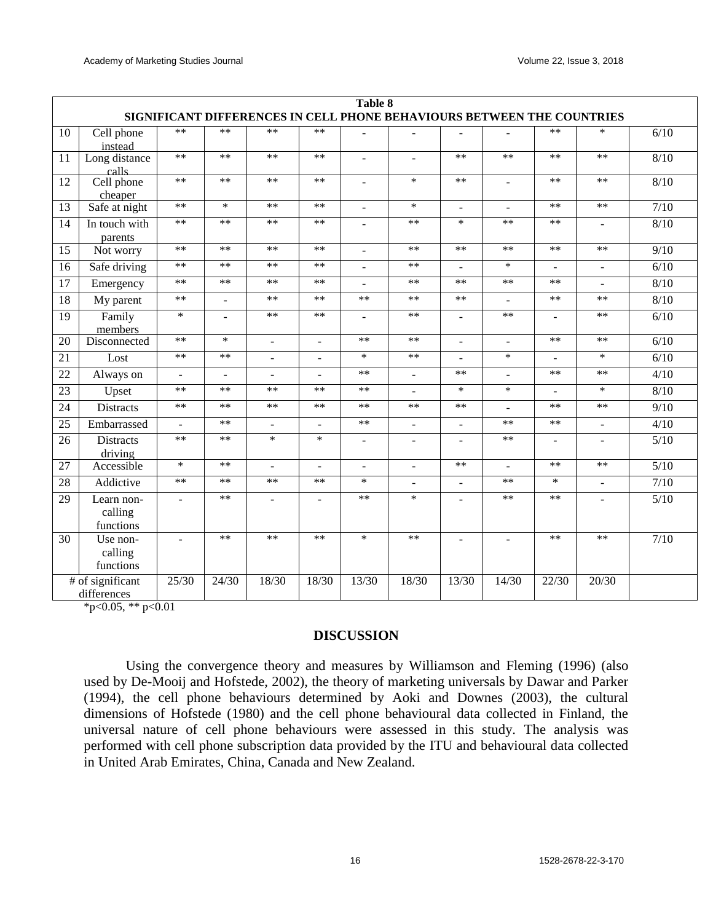|    | Table 8                                                                |                          |                |                |                |                |                          |                |                          |                          |                          |      |  |  |
|----|------------------------------------------------------------------------|--------------------------|----------------|----------------|----------------|----------------|--------------------------|----------------|--------------------------|--------------------------|--------------------------|------|--|--|
|    | SIGNIFICANT DIFFERENCES IN CELL PHONE BEHAVIOURS BETWEEN THE COUNTRIES |                          |                |                |                |                |                          |                |                          |                          |                          |      |  |  |
| 10 | Cell phone<br>instead                                                  | $**$                     | $**$           | $**$           | $***$          | L,             |                          |                |                          | $**$                     | $\ast$                   | 6/10 |  |  |
| 11 | Long distance<br>calls                                                 | $**$                     | $**$           | $**$           | $**$           | ÷.             |                          | $**$           | $**$                     | $**$                     | $**$                     | 8/10 |  |  |
| 12 | Cell phone<br>cheaper                                                  | $**$                     | $**$           | $**$           | $**$           | $\overline{a}$ | $\ast$                   | $**$           | $\blacksquare$           | $**$                     | $**$                     | 8/10 |  |  |
| 13 | Safe at night                                                          | $**$                     | $\ast$         | **             | **             | $\blacksquare$ | $\ast$                   | $\mathbf{r}$   | $\sim$                   | $**$                     | $***$                    | 7/10 |  |  |
| 14 | In touch with<br>parents                                               | $**$                     | **             | $**$           | $***$          |                | $***$                    | $\ast$         | **                       | $**$                     |                          | 8/10 |  |  |
| 15 | Not worry                                                              | $**$                     | $**$           | $**$           | $**$           |                | $**$                     | $**$           | $**$                     | $**$                     | $**$                     | 9/10 |  |  |
| 16 | Safe driving                                                           | $**$                     | **             | $**$           | $**$           | L.             | **                       | $\sim$         | $\ast$                   | $\overline{\phantom{a}}$ | $\overline{\phantom{a}}$ | 6/10 |  |  |
| 17 | Emergency                                                              | $**$                     | $**$           | $**$           | $**$           | L,             | $**$                     | $**$           | $**$                     | $**$                     |                          | 8/10 |  |  |
| 18 | My parent                                                              | $**$                     | $\overline{a}$ | $**$           | $**$           | $***$          | $***$                    | **             | $\blacksquare$           | $**$                     | **                       | 8/10 |  |  |
| 19 | Family<br>members                                                      | $\ast$                   | $\mathbf{r}$   | $**$           | $**$           | $\overline{a}$ | $**$                     | $\sim$         | $**$                     | $\overline{a}$           | $**$                     | 6/10 |  |  |
| 20 | Disconnected                                                           | $**$                     | $\ast$         | $\overline{a}$ | $\overline{a}$ | $***$          | **                       | $\overline{a}$ | $\overline{\phantom{a}}$ | $**$                     | **                       | 6/10 |  |  |
| 21 | Lost                                                                   | **                       | **             | L.             |                | $\ast$         | $***$                    |                | $\ast$                   | $\overline{a}$           | $\ast$                   | 6/10 |  |  |
| 22 | Always on                                                              | $\overline{\phantom{a}}$ | $\sim$         | $\overline{a}$ | $\overline{a}$ | $**$           | $\overline{\phantom{a}}$ | $**$           | $\blacksquare$           | $**$                     | $**$                     | 4/10 |  |  |
| 23 | Upset                                                                  | $**$                     | **             | **             | **             | **             |                          | $\ast$         | $\ast$                   | $\overline{a}$           | $\ast$                   | 8/10 |  |  |
| 24 | <b>Distracts</b>                                                       | $**$                     | $**$           | $**$           | $**$           | $**$           | $**$                     | $**$           | $\sim$                   | $**$                     | $**$                     | 9/10 |  |  |
| 25 | Embarrassed                                                            | $\overline{a}$           | **             | L.             | $\overline{a}$ | **             | $\overline{\phantom{a}}$ | $\sim$         | **                       | $**$                     | $\overline{a}$           | 4/10 |  |  |
| 26 | <b>Distracts</b><br>driving                                            | $**$                     | **             | $\ast$         | $\ast$         | $\blacksquare$ | $\blacksquare$           | $\overline{a}$ | **                       | $\overline{\phantom{a}}$ | ÷                        | 5/10 |  |  |
| 27 | Accessible                                                             | $\ast$                   | **             |                | ÷.             | $\overline{a}$ |                          | **             |                          | $**$                     | $**$                     | 5/10 |  |  |
| 28 | Addictive                                                              | $**$                     | $**$           | $**$           | $***$          | $\ast$         | $\overline{a}$           | $\sim$         | $**$                     | $\ast$                   | $\overline{\phantom{a}}$ | 7/10 |  |  |
| 29 | Learn non-<br>calling<br>functions                                     |                          | $**$           |                |                | $**$           | $\ast$                   |                | $**$                     | $**$                     |                          | 5/10 |  |  |
| 30 | Use non-<br>calling<br>functions                                       |                          | $**$           | $**$           | $**$           | $\ast$         | $**$                     | $\overline{a}$ |                          | $**$                     | $**$                     | 7/10 |  |  |
|    | # of significant<br>differences                                        | 25/30                    | 24/30          | 18/30          | 18/30          | 13/30          | 18/30                    | 13/30          | 14/30                    | 22/30                    | 20/30                    |      |  |  |

 $*_{p<0.05}$ ,  $*_{p<0.01}$ 

#### **DISCUSSION**

Using the convergence theory and measures by Williamson and Fleming (1996) (also used by De-Mooij and Hofstede, 2002), the theory of marketing universals by Dawar and Parker (1994), the cell phone behaviours determined by Aoki and Downes (2003), the cultural dimensions of Hofstede (1980) and the cell phone behavioural data collected in Finland, the universal nature of cell phone behaviours were assessed in this study. The analysis was performed with cell phone subscription data provided by the ITU and behavioural data collected in United Arab Emirates, China, Canada and New Zealand.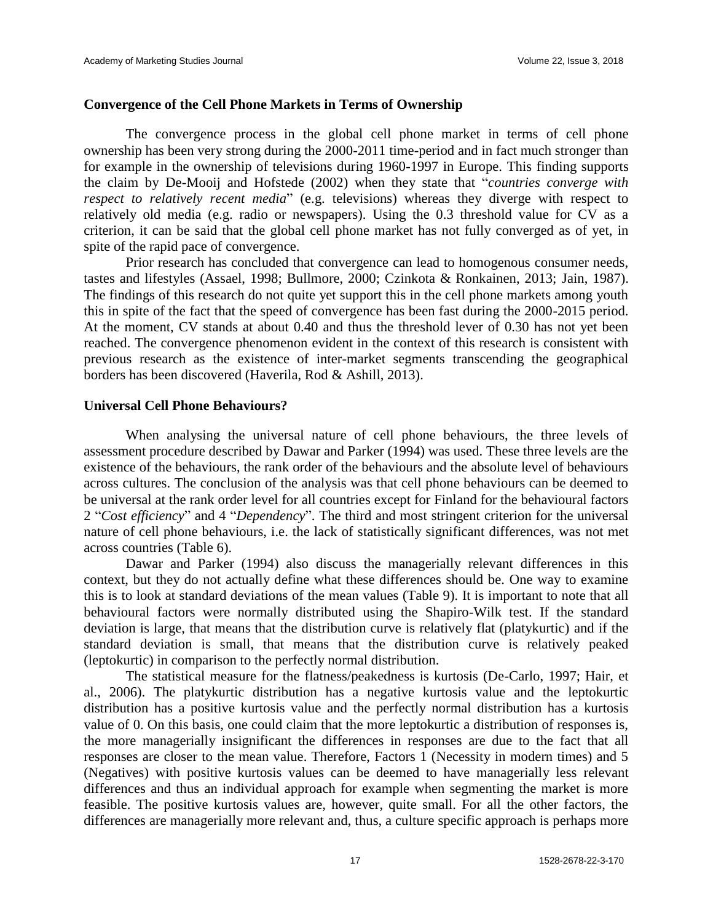#### **Convergence of the Cell Phone Markets in Terms of Ownership**

The convergence process in the global cell phone market in terms of cell phone ownership has been very strong during the 2000-2011 time-period and in fact much stronger than for example in the ownership of televisions during 1960-1997 in Europe. This finding supports the claim by De-Mooij and Hofstede (2002) when they state that "*countries converge with respect to relatively recent media*" (e.g. televisions) whereas they diverge with respect to relatively old media (e.g. radio or newspapers). Using the 0.3 threshold value for CV as a criterion, it can be said that the global cell phone market has not fully converged as of yet, in spite of the rapid pace of convergence.

Prior research has concluded that convergence can lead to homogenous consumer needs, tastes and lifestyles (Assael, 1998; Bullmore, 2000; Czinkota & Ronkainen, 2013; Jain, 1987). The findings of this research do not quite yet support this in the cell phone markets among youth this in spite of the fact that the speed of convergence has been fast during the 2000-2015 period. At the moment, CV stands at about 0.40 and thus the threshold lever of 0.30 has not yet been reached. The convergence phenomenon evident in the context of this research is consistent with previous research as the existence of inter-market segments transcending the geographical borders has been discovered (Haverila, Rod & Ashill, 2013).

### **Universal Cell Phone Behaviours?**

When analysing the universal nature of cell phone behaviours, the three levels of assessment procedure described by Dawar and Parker (1994) was used. These three levels are the existence of the behaviours, the rank order of the behaviours and the absolute level of behaviours across cultures. The conclusion of the analysis was that cell phone behaviours can be deemed to be universal at the rank order level for all countries except for Finland for the behavioural factors 2 "*Cost efficiency*" and 4 "*Dependency*". The third and most stringent criterion for the universal nature of cell phone behaviours, i.e. the lack of statistically significant differences, was not met across countries (Table 6).

Dawar and Parker (1994) also discuss the managerially relevant differences in this context, but they do not actually define what these differences should be. One way to examine this is to look at standard deviations of the mean values (Table 9). It is important to note that all behavioural factors were normally distributed using the Shapiro-Wilk test. If the standard deviation is large, that means that the distribution curve is relatively flat (platykurtic) and if the standard deviation is small, that means that the distribution curve is relatively peaked (leptokurtic) in comparison to the perfectly normal distribution.

The statistical measure for the flatness/peakedness is kurtosis (De-Carlo, 1997; Hair, et al., 2006). The platykurtic distribution has a negative kurtosis value and the leptokurtic distribution has a positive kurtosis value and the perfectly normal distribution has a kurtosis value of 0. On this basis, one could claim that the more leptokurtic a distribution of responses is, the more managerially insignificant the differences in responses are due to the fact that all responses are closer to the mean value. Therefore, Factors 1 (Necessity in modern times) and 5 (Negatives) with positive kurtosis values can be deemed to have managerially less relevant differences and thus an individual approach for example when segmenting the market is more feasible. The positive kurtosis values are, however, quite small. For all the other factors, the differences are managerially more relevant and, thus, a culture specific approach is perhaps more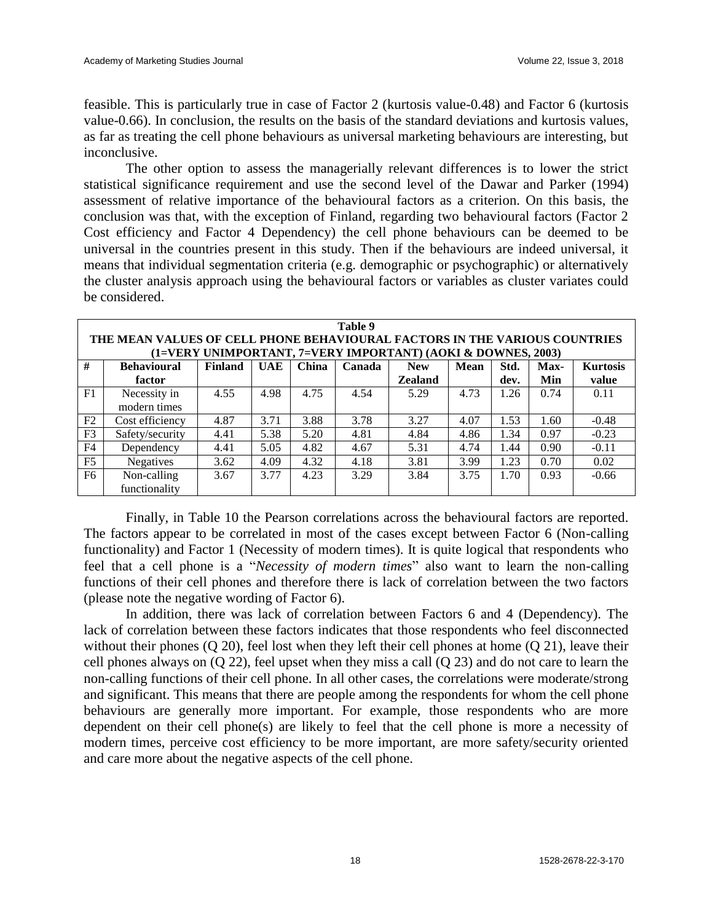feasible. This is particularly true in case of Factor 2 (kurtosis value-0.48) and Factor 6 (kurtosis value-0.66). In conclusion, the results on the basis of the standard deviations and kurtosis values, as far as treating the cell phone behaviours as universal marketing behaviours are interesting, but inconclusive.

The other option to assess the managerially relevant differences is to lower the strict statistical significance requirement and use the second level of the Dawar and Parker (1994) assessment of relative importance of the behavioural factors as a criterion. On this basis, the conclusion was that, with the exception of Finland, regarding two behavioural factors (Factor 2 Cost efficiency and Factor 4 Dependency) the cell phone behaviours can be deemed to be universal in the countries present in this study. Then if the behaviours are indeed universal, it means that individual segmentation criteria (e.g. demographic or psychographic) or alternatively the cluster analysis approach using the behavioural factors or variables as cluster variates could be considered.

|                                                                                                                                            | Table 9                                                                    |      |      |      |      |                |      |      |      |         |  |  |  |  |  |
|--------------------------------------------------------------------------------------------------------------------------------------------|----------------------------------------------------------------------------|------|------|------|------|----------------|------|------|------|---------|--|--|--|--|--|
|                                                                                                                                            | THE MEAN VALUES OF CELL PHONE BEHAVIOURAL FACTORS IN THE VARIOUS COUNTRIES |      |      |      |      |                |      |      |      |         |  |  |  |  |  |
| (1=VERY UNIMPORTANT, 7=VERY IMPORTANT) (AOKI & DOWNES, 2003)                                                                               |                                                                            |      |      |      |      |                |      |      |      |         |  |  |  |  |  |
| #<br><b>Finland</b><br><b>UAE</b><br><b>Behavioural</b><br><b>China</b><br>Mean<br>Std.<br>Canada<br>Max-<br><b>Kurtosis</b><br><b>New</b> |                                                                            |      |      |      |      |                |      |      |      |         |  |  |  |  |  |
|                                                                                                                                            | factor                                                                     |      |      |      |      | <b>Zealand</b> |      | dev. | Min  | value   |  |  |  |  |  |
| F <sub>1</sub>                                                                                                                             | Necessity in                                                               | 4.55 | 4.98 | 4.75 | 4.54 | 5.29           | 4.73 | 1.26 | 0.74 | 0.11    |  |  |  |  |  |
|                                                                                                                                            | modern times                                                               |      |      |      |      |                |      |      |      |         |  |  |  |  |  |
| F2                                                                                                                                         | Cost efficiency                                                            | 4.87 | 3.71 | 3.88 | 3.78 | 3.27           | 4.07 | 1.53 | 1.60 | $-0.48$ |  |  |  |  |  |
| F <sub>3</sub>                                                                                                                             | Safety/security                                                            | 4.41 | 5.38 | 5.20 | 4.81 | 4.84           | 4.86 | 1.34 | 0.97 | $-0.23$ |  |  |  |  |  |
| F <sub>4</sub>                                                                                                                             | Dependency                                                                 | 4.41 | 5.05 | 4.82 | 4.67 | 5.31           | 4.74 | 1.44 | 0.90 | $-0.11$ |  |  |  |  |  |
| F <sub>5</sub>                                                                                                                             | <b>Negatives</b>                                                           | 3.62 | 4.09 | 4.32 | 4.18 | 3.81           | 3.99 | 1.23 | 0.70 | 0.02    |  |  |  |  |  |
| F <sub>6</sub>                                                                                                                             | Non-calling                                                                | 3.67 | 3.77 | 4.23 | 3.29 | 3.84           | 3.75 | 1.70 | 0.93 | $-0.66$ |  |  |  |  |  |
|                                                                                                                                            | functionality                                                              |      |      |      |      |                |      |      |      |         |  |  |  |  |  |

Finally, in Table 10 the Pearson correlations across the behavioural factors are reported. The factors appear to be correlated in most of the cases except between Factor 6 (Non-calling functionality) and Factor 1 (Necessity of modern times). It is quite logical that respondents who feel that a cell phone is a "*Necessity of modern times*" also want to learn the non-calling functions of their cell phones and therefore there is lack of correlation between the two factors (please note the negative wording of Factor 6).

In addition, there was lack of correlation between Factors 6 and 4 (Dependency). The lack of correlation between these factors indicates that those respondents who feel disconnected without their phones (Q 20), feel lost when they left their cell phones at home (Q 21), leave their cell phones always on (Q 22), feel upset when they miss a call (Q 23) and do not care to learn the non-calling functions of their cell phone. In all other cases, the correlations were moderate/strong and significant. This means that there are people among the respondents for whom the cell phone behaviours are generally more important. For example, those respondents who are more dependent on their cell phone(s) are likely to feel that the cell phone is more a necessity of modern times, perceive cost efficiency to be more important, are more safety/security oriented and care more about the negative aspects of the cell phone.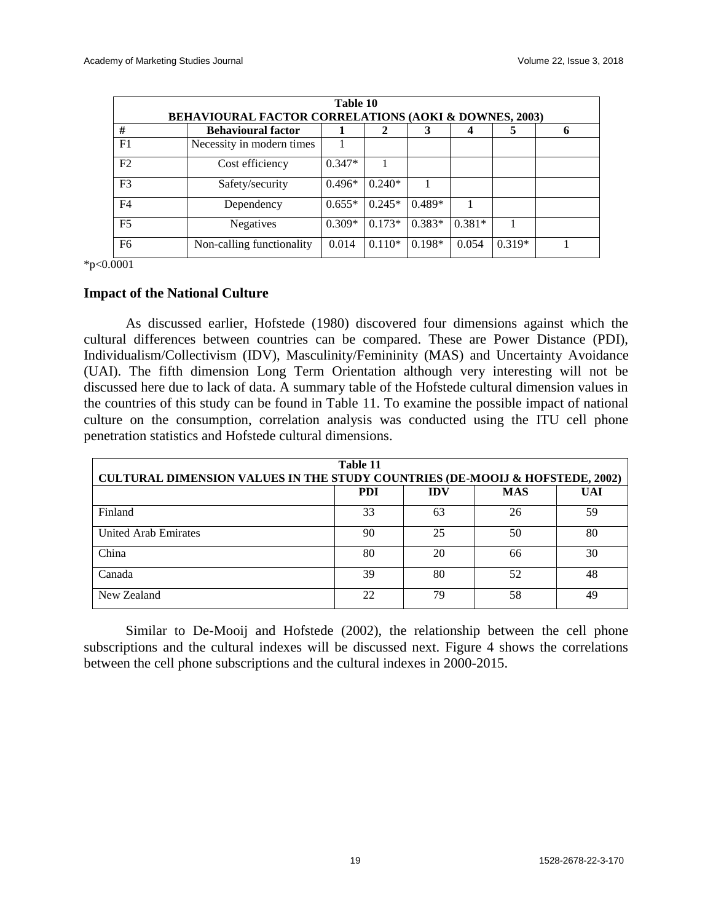| Table 10<br><b>BEHAVIOURAL FACTOR CORRELATIONS (AOKI &amp; DOWNES, 2003)</b> |                           |          |          |          |          |          |  |  |  |
|------------------------------------------------------------------------------|---------------------------|----------|----------|----------|----------|----------|--|--|--|
| #                                                                            | <b>Behavioural factor</b> |          | 2        | 3        |          |          |  |  |  |
| F <sub>1</sub>                                                               | Necessity in modern times |          |          |          |          |          |  |  |  |
| F <sub>2</sub>                                                               | Cost efficiency           | $0.347*$ |          |          |          |          |  |  |  |
| F <sub>3</sub>                                                               | Safety/security           | $0.496*$ | $0.240*$ |          |          |          |  |  |  |
| F <sub>4</sub>                                                               | Dependency                | $0.655*$ | $0.245*$ | $0.489*$ |          |          |  |  |  |
| F <sub>5</sub>                                                               | Negatives                 | $0.309*$ | $0.173*$ | $0.383*$ | $0.381*$ |          |  |  |  |
| F <sub>6</sub>                                                               | Non-calling functionality | 0.014    | $0.110*$ | $0.198*$ | 0.054    | $0.319*$ |  |  |  |

\*p<0.0001

#### **Impact of the National Culture**

As discussed earlier, Hofstede (1980) discovered four dimensions against which the cultural differences between countries can be compared. These are Power Distance (PDI), Individualism/Collectivism (IDV), Masculinity/Femininity (MAS) and Uncertainty Avoidance (UAI). The fifth dimension Long Term Orientation although very interesting will not be discussed here due to lack of data. A summary table of the Hofstede cultural dimension values in the countries of this study can be found in Table 11. To examine the possible impact of national culture on the consumption, correlation analysis was conducted using the ITU cell phone penetration statistics and Hofstede cultural dimensions.

| Table 11<br><b>CULTURAL DIMENSION VALUES IN THE STUDY COUNTRIES (DE-MOOIJ &amp; HOFSTEDE, 2002)</b> |            |            |            |            |  |  |  |  |
|-----------------------------------------------------------------------------------------------------|------------|------------|------------|------------|--|--|--|--|
|                                                                                                     | <b>PDI</b> | <b>IDV</b> | <b>MAS</b> | <b>UAI</b> |  |  |  |  |
| Finland                                                                                             | 33         | 63         | 26         | 59         |  |  |  |  |
| <b>United Arab Emirates</b>                                                                         | 90         | 25         | 50         | 80         |  |  |  |  |
| China                                                                                               | 80         | 20         | 66         | 30         |  |  |  |  |
| Canada                                                                                              | 39         | 80         | 52         | 48         |  |  |  |  |
| New Zealand                                                                                         | 22         | 79         | 58         | 49         |  |  |  |  |

Similar to De-Mooij and Hofstede (2002), the relationship between the cell phone subscriptions and the cultural indexes will be discussed next. Figure 4 shows the correlations between the cell phone subscriptions and the cultural indexes in 2000-2015.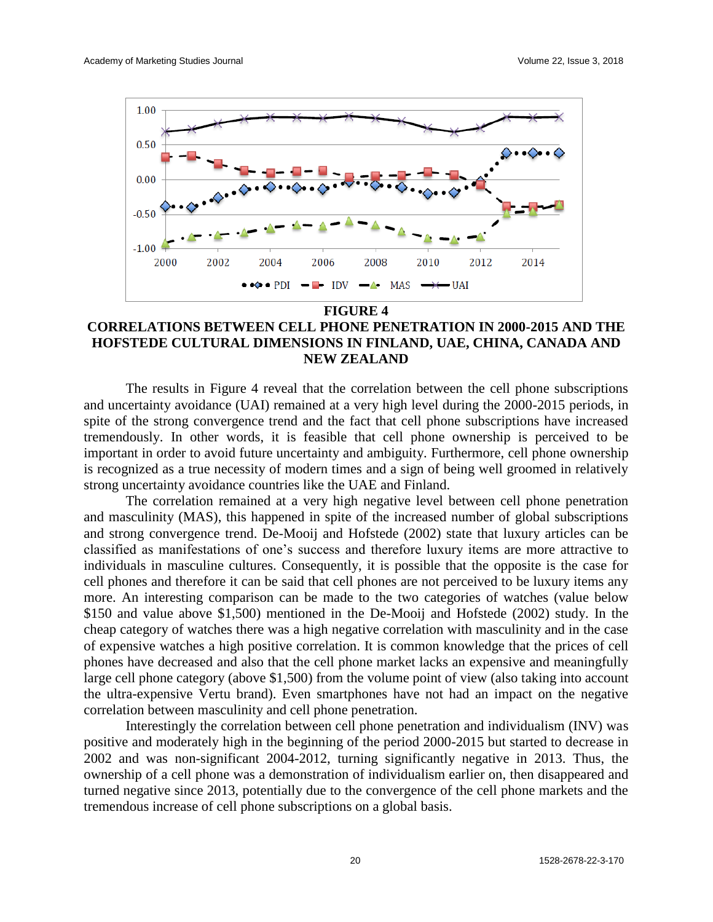

# **CORRELATIONS BETWEEN CELL PHONE PENETRATION IN 2000-2015 AND THE HOFSTEDE CULTURAL DIMENSIONS IN FINLAND, UAE, CHINA, CANADA AND NEW ZEALAND**

The results in Figure 4 reveal that the correlation between the cell phone subscriptions and uncertainty avoidance (UAI) remained at a very high level during the 2000-2015 periods, in spite of the strong convergence trend and the fact that cell phone subscriptions have increased tremendously. In other words, it is feasible that cell phone ownership is perceived to be important in order to avoid future uncertainty and ambiguity. Furthermore, cell phone ownership is recognized as a true necessity of modern times and a sign of being well groomed in relatively strong uncertainty avoidance countries like the UAE and Finland.

The correlation remained at a very high negative level between cell phone penetration and masculinity (MAS), this happened in spite of the increased number of global subscriptions and strong convergence trend. De-Mooij and Hofstede (2002) state that luxury articles can be classified as manifestations of one's success and therefore luxury items are more attractive to individuals in masculine cultures. Consequently, it is possible that the opposite is the case for cell phones and therefore it can be said that cell phones are not perceived to be luxury items any more. An interesting comparison can be made to the two categories of watches (value below \$150 and value above \$1,500) mentioned in the De-Mooij and Hofstede (2002) study. In the cheap category of watches there was a high negative correlation with masculinity and in the case of expensive watches a high positive correlation. It is common knowledge that the prices of cell phones have decreased and also that the cell phone market lacks an expensive and meaningfully large cell phone category (above \$1,500) from the volume point of view (also taking into account the ultra-expensive Vertu brand). Even smartphones have not had an impact on the negative correlation between masculinity and cell phone penetration.

Interestingly the correlation between cell phone penetration and individualism (INV) was positive and moderately high in the beginning of the period 2000-2015 but started to decrease in 2002 and was non-significant 2004-2012, turning significantly negative in 2013. Thus, the ownership of a cell phone was a demonstration of individualism earlier on, then disappeared and turned negative since 2013, potentially due to the convergence of the cell phone markets and the tremendous increase of cell phone subscriptions on a global basis.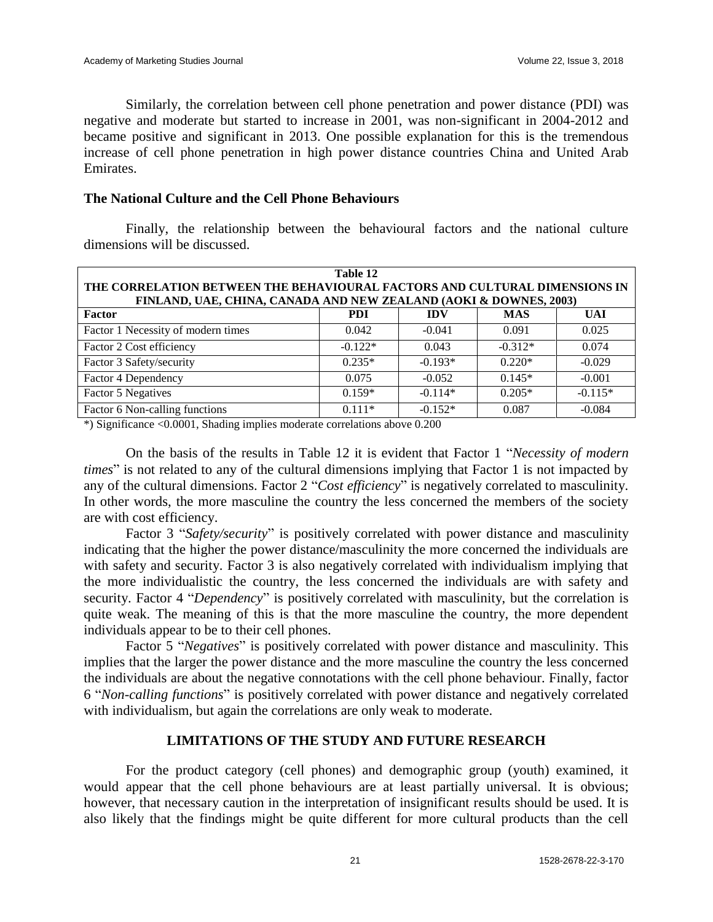Similarly, the correlation between cell phone penetration and power distance (PDI) was negative and moderate but started to increase in 2001, was non-significant in 2004-2012 and became positive and significant in 2013. One possible explanation for this is the tremendous increase of cell phone penetration in high power distance countries China and United Arab Emirates.

### **The National Culture and the Cell Phone Behaviours**

Finally, the relationship between the behavioural factors and the national culture dimensions will be discussed.

| Table 12                                                                                                                                        |            |            |            |            |  |  |  |  |  |
|-------------------------------------------------------------------------------------------------------------------------------------------------|------------|------------|------------|------------|--|--|--|--|--|
| THE CORRELATION BETWEEN THE BEHAVIOURAL FACTORS AND CULTURAL DIMENSIONS IN<br>FINLAND, UAE, CHINA, CANADA AND NEW ZEALAND (AOKI & DOWNES, 2003) |            |            |            |            |  |  |  |  |  |
| Factor                                                                                                                                          | <b>PDI</b> | <b>IDV</b> | <b>MAS</b> | <b>UAI</b> |  |  |  |  |  |
| Factor 1 Necessity of modern times                                                                                                              | 0.042      | $-0.041$   | 0.091      | 0.025      |  |  |  |  |  |
| Factor 2 Cost efficiency                                                                                                                        | $-0.122*$  | 0.043      | $-0.312*$  | 0.074      |  |  |  |  |  |
| Factor 3 Safety/security                                                                                                                        | $0.235*$   | $-0.193*$  | $0.220*$   | $-0.029$   |  |  |  |  |  |
| Factor 4 Dependency                                                                                                                             | 0.075      | $-0.052$   | $0.145*$   | $-0.001$   |  |  |  |  |  |
| <b>Factor 5 Negatives</b>                                                                                                                       | $0.159*$   | $-0.114*$  | $0.205*$   | $-0.115*$  |  |  |  |  |  |
| Factor 6 Non-calling functions                                                                                                                  | $0.111*$   | $-0.152*$  | 0.087      | $-0.084$   |  |  |  |  |  |

\*) Significance <0.0001, Shading implies moderate correlations above 0.200

On the basis of the results in Table 12 it is evident that Factor 1 "*Necessity of modern times*" is not related to any of the cultural dimensions implying that Factor 1 is not impacted by any of the cultural dimensions. Factor 2 "*Cost efficiency*" is negatively correlated to masculinity. In other words, the more masculine the country the less concerned the members of the society are with cost efficiency.

Factor 3 "*Safety/security*" is positively correlated with power distance and masculinity indicating that the higher the power distance/masculinity the more concerned the individuals are with safety and security. Factor 3 is also negatively correlated with individualism implying that the more individualistic the country, the less concerned the individuals are with safety and security. Factor 4 "*Dependency*" is positively correlated with masculinity, but the correlation is quite weak. The meaning of this is that the more masculine the country, the more dependent individuals appear to be to their cell phones.

Factor 5 "*Negatives*" is positively correlated with power distance and masculinity. This implies that the larger the power distance and the more masculine the country the less concerned the individuals are about the negative connotations with the cell phone behaviour. Finally, factor 6 "*Non-calling functions*" is positively correlated with power distance and negatively correlated with individualism, but again the correlations are only weak to moderate.

#### **LIMITATIONS OF THE STUDY AND FUTURE RESEARCH**

For the product category (cell phones) and demographic group (youth) examined, it would appear that the cell phone behaviours are at least partially universal. It is obvious; however, that necessary caution in the interpretation of insignificant results should be used. It is also likely that the findings might be quite different for more cultural products than the cell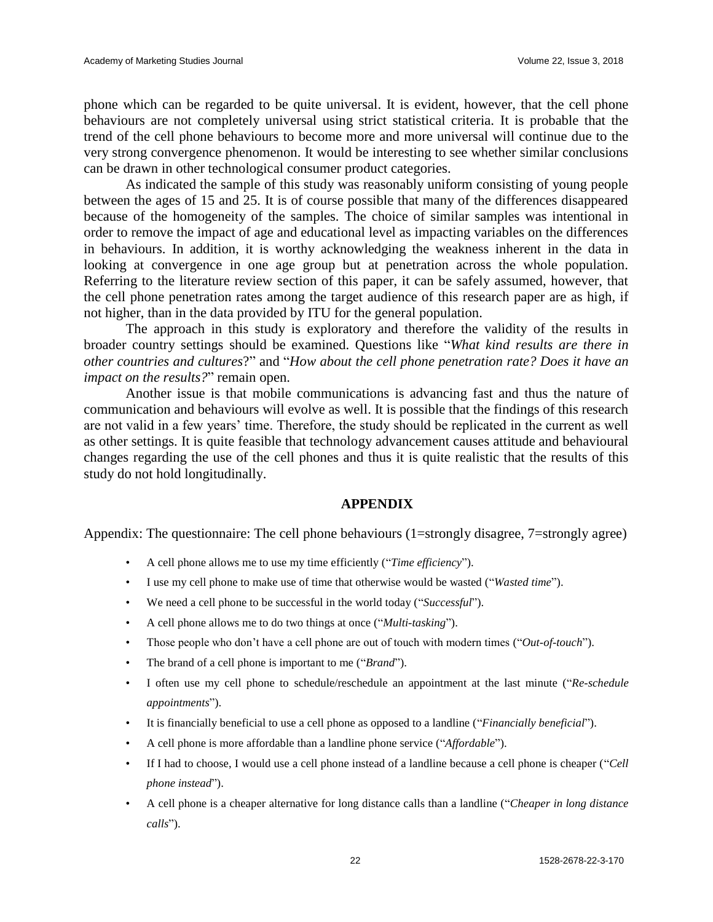phone which can be regarded to be quite universal. It is evident, however, that the cell phone behaviours are not completely universal using strict statistical criteria. It is probable that the trend of the cell phone behaviours to become more and more universal will continue due to the very strong convergence phenomenon. It would be interesting to see whether similar conclusions can be drawn in other technological consumer product categories.

As indicated the sample of this study was reasonably uniform consisting of young people between the ages of 15 and 25. It is of course possible that many of the differences disappeared because of the homogeneity of the samples. The choice of similar samples was intentional in order to remove the impact of age and educational level as impacting variables on the differences in behaviours. In addition, it is worthy acknowledging the weakness inherent in the data in looking at convergence in one age group but at penetration across the whole population. Referring to the literature review section of this paper, it can be safely assumed, however, that the cell phone penetration rates among the target audience of this research paper are as high, if not higher, than in the data provided by ITU for the general population.

The approach in this study is exploratory and therefore the validity of the results in broader country settings should be examined. Questions like "*What kind results are there in other countries and cultures*?" and "*How about the cell phone penetration rate? Does it have an impact on the results?*" remain open.

Another issue is that mobile communications is advancing fast and thus the nature of communication and behaviours will evolve as well. It is possible that the findings of this research are not valid in a few years' time. Therefore, the study should be replicated in the current as well as other settings. It is quite feasible that technology advancement causes attitude and behavioural changes regarding the use of the cell phones and thus it is quite realistic that the results of this study do not hold longitudinally.

### **APPENDIX**

Appendix: The questionnaire: The cell phone behaviours (1=strongly disagree, 7=strongly agree)

- A cell phone allows me to use my time efficiently ("*Time efficiency*").
- I use my cell phone to make use of time that otherwise would be wasted ("*Wasted time*").
- We need a cell phone to be successful in the world today ("*Successful*").
- A cell phone allows me to do two things at once ("*Multi-tasking*").
- Those people who don't have a cell phone are out of touch with modern times ("*Out-of-touch*").
- The brand of a cell phone is important to me ("*Brand*").
- I often use my cell phone to schedule/reschedule an appointment at the last minute ("*Re-schedule appointments*").
- It is financially beneficial to use a cell phone as opposed to a landline ("*Financially beneficial*").
- A cell phone is more affordable than a landline phone service ("*Affordable*").
- If I had to choose, I would use a cell phone instead of a landline because a cell phone is cheaper ("*Cell phone instead*").
- A cell phone is a cheaper alternative for long distance calls than a landline ("*Cheaper in long distance calls*").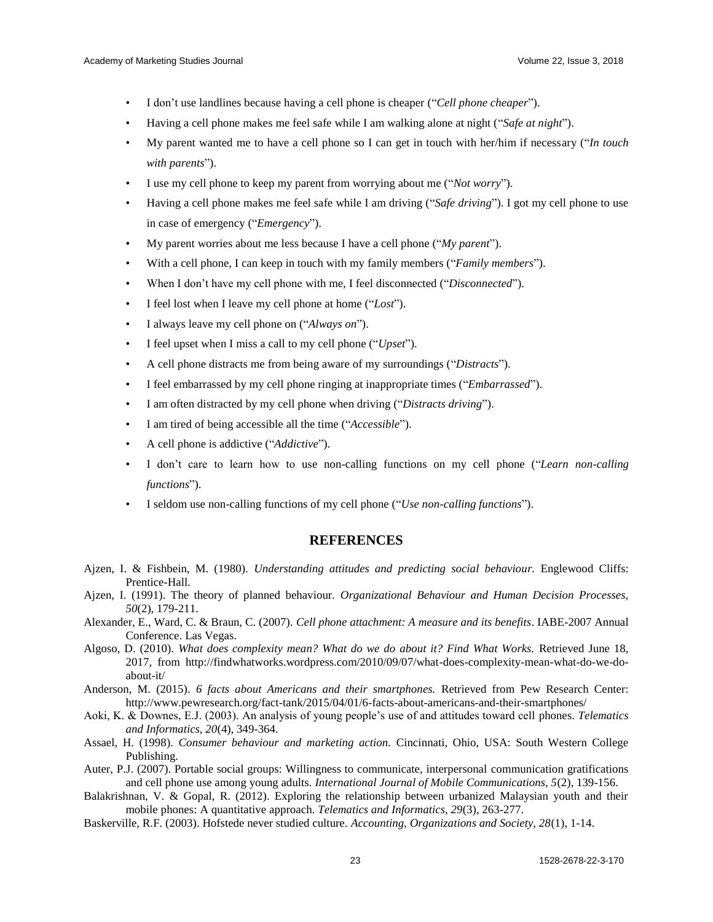- I don't use landlines because having a cell phone is cheaper ("*Cell phone cheaper*").
- Having a cell phone makes me feel safe while I am walking alone at night ("*Safe at night*").
- My parent wanted me to have a cell phone so I can get in touch with her/him if necessary ("*In touch with parents*").
- I use my cell phone to keep my parent from worrying about me ("*Not worry*").
- Having a cell phone makes me feel safe while I am driving ("*Safe driving*"). I got my cell phone to use in case of emergency ("*Emergency*").
- My parent worries about me less because I have a cell phone ("*My parent*").
- With a cell phone, I can keep in touch with my family members ("*Family members*").
- When I don't have my cell phone with me, I feel disconnected ("*Disconnected*").
- I feel lost when I leave my cell phone at home ("*Lost*").
- I always leave my cell phone on ("*Always on*").
- I feel upset when I miss a call to my cell phone ("*Upset*").
- A cell phone distracts me from being aware of my surroundings ("*Distracts*").
- I feel embarrassed by my cell phone ringing at inappropriate times ("*Embarrassed*").
- I am often distracted by my cell phone when driving ("*Distracts driving*").
- I am tired of being accessible all the time ("*Accessible*").
- A cell phone is addictive ("*Addictive*").
- I don't care to learn how to use non-calling functions on my cell phone ("*Learn non-calling functions*").
- I seldom use non-calling functions of my cell phone ("*Use non-calling functions*").

#### **REFERENCES**

- Ajzen, I. & Fishbein, M. (1980). *Understanding attitudes and predicting social behaviour.* Englewood Cliffs: Prentice-Hall.
- Ajzen, I. (1991). The theory of planned behaviour. *Organizational Behaviour and Human Decision Processes, 50*(2), 179-211.
- Alexander, E., Ward, C. & Braun, C. (2007). *Cell phone attachment: A measure and its benefits*. IABE-2007 Annual Conference. Las Vegas.
- Algoso, D. (2010). *What does complexity mean? What do we do about it? Find What Works.* Retrieved June 18, 2017, from [http://findwhatworks.wordpress.com/2010/09/07/what-does-complexity-mean-what-do-we-do](http://findwhatworks.wordpress.com/2010/09/07/what-does-complexity-mean-what-do-we-do-about-it/)[about-it/](http://findwhatworks.wordpress.com/2010/09/07/what-does-complexity-mean-what-do-we-do-about-it/)
- Anderson, M. (2015). *6 facts about Americans and their smartphones.* Retrieved from Pew Research Center: <http://www.pewresearch.org/fact-tank/2015/04/01/6-facts-about-americans-and-their-smartphones/>
- Aoki, K. & Downes, E.J. (2003). An analysis of young people's use of and attitudes toward cell phones. *Telematics and Informatics, 20*(4), 349-364.
- Assael, H. (1998). *Consumer behaviour and marketing action.* Cincinnati, Ohio, USA: South Western College Publishing.
- Auter, P.J. (2007). Portable social groups: Willingness to communicate, interpersonal communication gratifications and cell phone use among young adults. *International Journal of Mobile Communications, 5*(2), 139-156.
- Balakrishnan, V. & Gopal, R. (2012). Exploring the relationship between urbanized Malaysian youth and their mobile phones: A quantitative approach. *Telematics and Informatics, 29*(3), 263-277.
- Baskerville, R.F. (2003). Hofstede never studied culture. *Accounting, Organizations and Society, 28*(1), 1-14.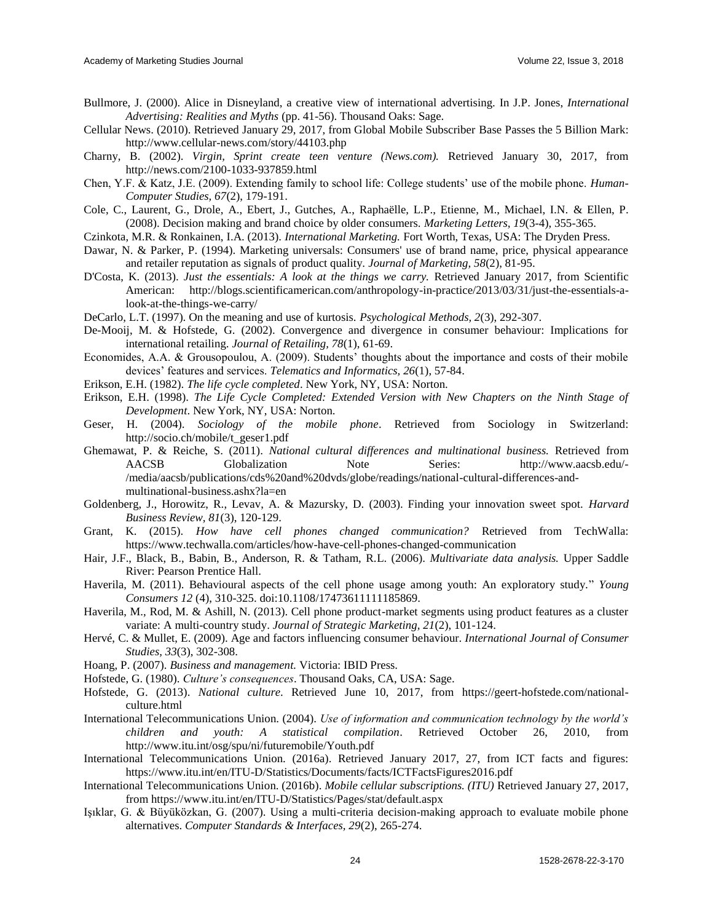- Bullmore, J. (2000). Alice in Disneyland, a creative view of international advertising. In J.P. Jones, *International Advertising: Realities and Myths* (pp. 41-56). Thousand Oaks: Sage.
- Cellular News. (2010). Retrieved January 29, 2017, from Global Mobile Subscriber Base Passes the 5 Billion Mark: <http://www.cellular-news.com/story/44103.php>
- Charny, B. (2002). *Virgin, Sprint create teen venture (News.com).* Retrieved January 30, 2017, from <http://news.com/2100-1033-937859.html>
- Chen, Y.F. & Katz, J.E. (2009). Extending family to school life: College students' use of the mobile phone. *Human-Computer Studies, 67*(2), 179-191.
- Cole, C., Laurent, G., Drole, A., Ebert, J., Gutches, A., Raphaëlle, L.P., Etienne, M., Michael, I.N. & Ellen, P. (2008). Decision making and brand choice by older consumers. *Marketing Letters, 19*(3-4), 355-365.
- Czinkota, M.R. & Ronkainen, I.A. (2013). *International Marketing.* Fort Worth, Texas, USA: The Dryden Press.
- Dawar, N. & Parker, P. (1994). Marketing universals: Consumers' use of brand name, price, physical appearance and retailer reputation as signals of product quality. *Journal of Marketing, 58*(2), 81-95.
- D'Costa, K. (2013). *Just the essentials: A look at the things we carry.* Retrieved January 2017, from Scientific American: [http://blogs.scientificamerican.com/anthropology-in-practice/2013/03/31/just-the-essentials-a](http://blogs.scientificamerican.com/anthropology-in-practice/2013/03/31/just-the-essentials-a-look-at-the-things-we-carry/)[look-at-the-things-we-carry/](http://blogs.scientificamerican.com/anthropology-in-practice/2013/03/31/just-the-essentials-a-look-at-the-things-we-carry/)
- DeCarlo, L.T. (1997). On the meaning and use of kurtosis. *Psychological Methods, 2*(3), 292-307.
- De-Mooij, M. & Hofstede, G. (2002). Convergence and divergence in consumer behaviour: Implications for international retailing. *Journal of Retailing, 78*(1), 61-69.
- Economides, A.A. & Grousopoulou, A. (2009). Students' thoughts about the importance and costs of their mobile devices' features and services. *Telematics and Informatics, 26*(1), 57-84.
- Erikson, E.H. (1982). *The life cycle completed*. New York, NY, USA: Norton.
- Erikson, E.H. (1998). *The Life Cycle Completed: Extended Version with New Chapters on the Ninth Stage of Development*. New York, NY, USA: Norton.
- Geser, H. (2004). *Sociology of the mobile phone*. Retrieved from Sociology in Switzerland: [http://socio.ch/mobile/t\\_geser1.pdf](http://socio.ch/mobile/t_geser1.pdf)
- Ghemawat, P. & Reiche, S. (2011). *National cultural differences and multinational business.* Retrieved from AACSB Globalization Note Series: [http://www.aacsb.edu/-](http://www.aacsb.edu/-/media/aacsb/publications/cds%20and%20dvds/globe/readings/national-cultural-differences-and-multinational-business.ashx?la=en) [/media/aacsb/publications/cds%20and%20dvds/globe/readings/national-cultural-differences-and](http://www.aacsb.edu/-/media/aacsb/publications/cds%20and%20dvds/globe/readings/national-cultural-differences-and-multinational-business.ashx?la=en)[multinational-business.ashx?la=en](http://www.aacsb.edu/-/media/aacsb/publications/cds%20and%20dvds/globe/readings/national-cultural-differences-and-multinational-business.ashx?la=en)
- Goldenberg, J., Horowitz, R., Levav, A. & Mazursky, D. (2003). Finding your innovation sweet spot. *Harvard Business Review, 81*(3), 120-129.
- Grant, K. (2015). *How have cell phones changed communication?* Retrieved from TechWalla: <https://www.techwalla.com/articles/how-have-cell-phones-changed-communication>
- Hair, J.F., Black, B., Babin, B., Anderson, R. & Tatham, R.L. (2006). *Multivariate data analysis.* Upper Saddle River: Pearson Prentice Hall.
- Haverila, M. (2011). Behavioural aspects of the cell phone usage among youth: An exploratory study." *Young Consumers 12* (4), 310-325. doi:10.1108/17473611111185869.
- Haverila, M., Rod, M. & Ashill, N. (2013). Cell phone product-market segments using product features as a cluster variate: A multi-country study. *Journal of Strategic Marketing, 21*(2), 101-124.
- Hervé, C. & Mullet, E. (2009). Age and factors influencing consumer behaviour. *International Journal of Consumer Studies, 33*(3), 302-308.
- Hoang, P. (2007). *Business and management.* Victoria: IBID Press.
- Hofstede, G. (1980). *Culture's consequences*. Thousand Oaks, CA, USA: Sage.
- Hofstede, G. (2013). *National culture*. Retrieved June 10, 2017, from [https://geert-hofstede.com/national](https://geert-hofstede.com/national-culture.html)[culture.html](https://geert-hofstede.com/national-culture.html)
- International Telecommunications Union. (2004). *Use of information and communication technology by the world's children and youth: A statistical compilation*. Retrieved October 26, 2010, from <http://www.itu.int/osg/spu/ni/futuremobile/Youth.pdf>
- International Telecommunications Union. (2016a). Retrieved January 2017, 27, from ICT facts and figures: <https://www.itu.int/en/ITU-D/Statistics/Documents/facts/ICTFactsFigures2016.pdf>
- International Telecommunications Union. (2016b). *Mobile cellular subscriptions. (ITU)* Retrieved January 27, 2017, from<https://www.itu.int/en/ITU-D/Statistics/Pages/stat/default.aspx>
- Işıklar, G. & Büyüközkan, G. (2007). Using a multi-criteria decision-making approach to evaluate mobile phone alternatives. *Computer Standards & Interfaces, 29*(2), 265-274.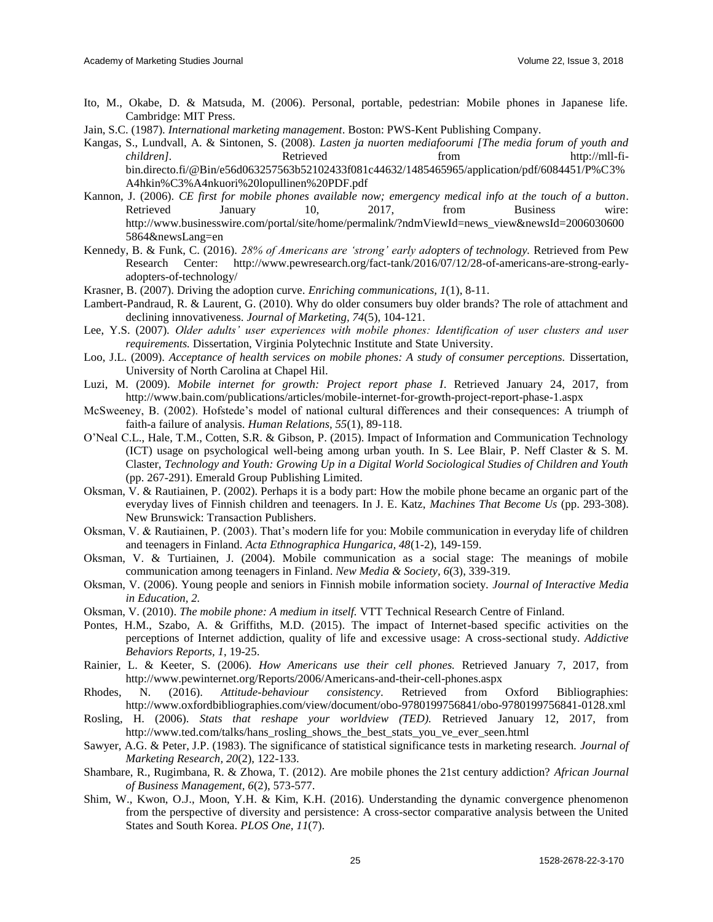- Ito, M., Okabe, D. & Matsuda, M. (2006). Personal, portable, pedestrian: Mobile phones in Japanese life. Cambridge: MIT Press.
- Jain, S.C. (1987). *International marketing management*. Boston: PWS-Kent Publishing Company.
- Kangas, S., Lundvall, A. & Sintonen, S. (2008). *Lasten ja nuorten mediafoorumi [The media forum of youth and children].* Retrieved from [http://mll-fi](http://mll-fi-bin.directo.fi/@Bin/e56d063257563b52102433f081c44632/1485465965/application/pdf/6084451/P%C3%A4hkin%C3%A4nkuori%20lopullinen%20PDF.pdf)[bin.directo.fi/@Bin/e56d063257563b52102433f081c44632/1485465965/application/pdf/6084451/P%C3%](http://mll-fi-bin.directo.fi/@Bin/e56d063257563b52102433f081c44632/1485465965/application/pdf/6084451/P%C3%A4hkin%C3%A4nkuori%20lopullinen%20PDF.pdf) [A4hkin%C3%A4nkuori%20lopullinen%20PDF.pdf](http://mll-fi-bin.directo.fi/@Bin/e56d063257563b52102433f081c44632/1485465965/application/pdf/6084451/P%C3%A4hkin%C3%A4nkuori%20lopullinen%20PDF.pdf)
- Kannon, J. (2006). *CE first for mobile phones available now; emergency medical info at the touch of a button*. Retrieved January 10, 2017, from Business wire: [http://www.businesswire.com/portal/site/home/permalink/?ndmViewId=news\\_view&newsId=2006030600](http://www.businesswire.com/portal/site/home/permalink/?ndmViewId=news_view&newsId=20060306005864&newsLang=en) [5864&newsLang=en](http://www.businesswire.com/portal/site/home/permalink/?ndmViewId=news_view&newsId=20060306005864&newsLang=en)
- Kennedy, B. & Funk, C. (2016). *28% of Americans are 'strong' early adopters of technology.* Retrieved from Pew Research Center: [http://www.pewresearch.org/fact-tank/2016/07/12/28-of-americans-are-strong-early](http://www.pewresearch.org/fact-tank/2016/07/12/28-of-americans-are-strong-early-adopters-of-technology/)[adopters-of-technology/](http://www.pewresearch.org/fact-tank/2016/07/12/28-of-americans-are-strong-early-adopters-of-technology/)
- Krasner, B. (2007). Driving the adoption curve. *Enriching communications, 1*(1), 8-11.
- Lambert-Pandraud, R. & Laurent, G. (2010). Why do older consumers buy older brands? The role of attachment and declining innovativeness. *Journal of Marketing, 74*(5), 104-121.
- Lee, Y.S. (2007). *Older adults' user experiences with mobile phones: Identification of user clusters and user requirements.* Dissertation, Virginia Polytechnic Institute and State University.
- Loo, J.L. (2009). *Acceptance of health services on mobile phones: A study of consumer perceptions.* Dissertation, University of North Carolina at Chapel Hil.
- Luzi, M. (2009). *Mobile internet for growth: Project report phase I*. Retrieved January 24, 2017, from <http://www.bain.com/publications/articles/mobile-internet-for-growth-project-report-phase-1.aspx>
- McSweeney, B. (2002). Hofstede's model of national cultural differences and their consequences: A triumph of faith-a failure of analysis. *Human Relations, 55*(1), 89-118.
- O'Neal C.L., Hale, T.M., Cotten, S.R. & Gibson, P. (2015). Impact of Information and Communication Technology (ICT) usage on psychological well-being among urban youth. In S. Lee Blair, P. Neff Claster & S. M. Claster, *Technology and Youth: Growing Up in a Digital World Sociological Studies of Children and Youth* (pp. 267-291). Emerald Group Publishing Limited.
- Oksman, V. & Rautiainen, P. (2002). Perhaps it is a body part: How the mobile phone became an organic part of the everyday lives of Finnish children and teenagers. In J. E. Katz, *Machines That Become Us* (pp. 293-308). New Brunswick: Transaction Publishers.
- Oksman, V. & Rautiainen, P. (2003). That's modern life for you: Mobile communication in everyday life of children and teenagers in Finland. *Acta Ethnographica Hungarica, 48*(1-2), 149-159.
- Oksman, V. & Turtiainen, J. (2004). Mobile communication as a social stage: The meanings of mobile communication among teenagers in Finland. *New Media & Society, 6*(3), 339-319.
- Oksman, V. (2006). Young people and seniors in Finnish mobile information society. *Journal of Interactive Media in Education, 2.*
- Oksman, V. (2010). *The mobile phone: A medium in itself.* VTT Technical Research Centre of Finland.
- Pontes, H.M., Szabo, A. & Griffiths, M.D. (2015). The impact of Internet-based specific activities on the perceptions of Internet addiction, quality of life and excessive usage: A cross-sectional study. *Addictive Behaviors Reports, 1*, 19-25.
- Rainier, L. & Keeter, S. (2006). *How Americans use their cell phones.* Retrieved January 7, 2017, from <http://www.pewinternet.org/Reports/2006/Americans-and-their-cell-phones.aspx>
- Rhodes, N. (2016). *Attitude-behaviour consistency*. Retrieved from Oxford Bibliographies: <http://www.oxfordbibliographies.com/view/document/obo-9780199756841/obo-9780199756841-0128.xml>
- Rosling, H. (2006). *Stats that reshape your worldview (TED).* Retrieved January 12, 2017, from [http://www.ted.com/talks/hans\\_rosling\\_shows\\_the\\_best\\_stats\\_you\\_ve\\_ever\\_seen.html](http://www.ted.com/talks/hans_rosling_shows_the_best_stats_you_ve_ever_seen.html)
- Sawyer, A.G. & Peter, J.P. (1983). The significance of statistical significance tests in marketing research. *Journal of Marketing Research, 20*(2), 122-133.
- Shambare, R., Rugimbana, R. & Zhowa, T. (2012). Are mobile phones the 21st century addiction? *African Journal of Business Management, 6*(2), 573-577.
- Shim, W., Kwon, O.J., Moon, Y.H. & Kim, K.H. (2016). Understanding the dynamic convergence phenomenon from the perspective of diversity and persistence: A cross-sector comparative analysis between the United States and South Korea. *PLOS One, 11*(7).